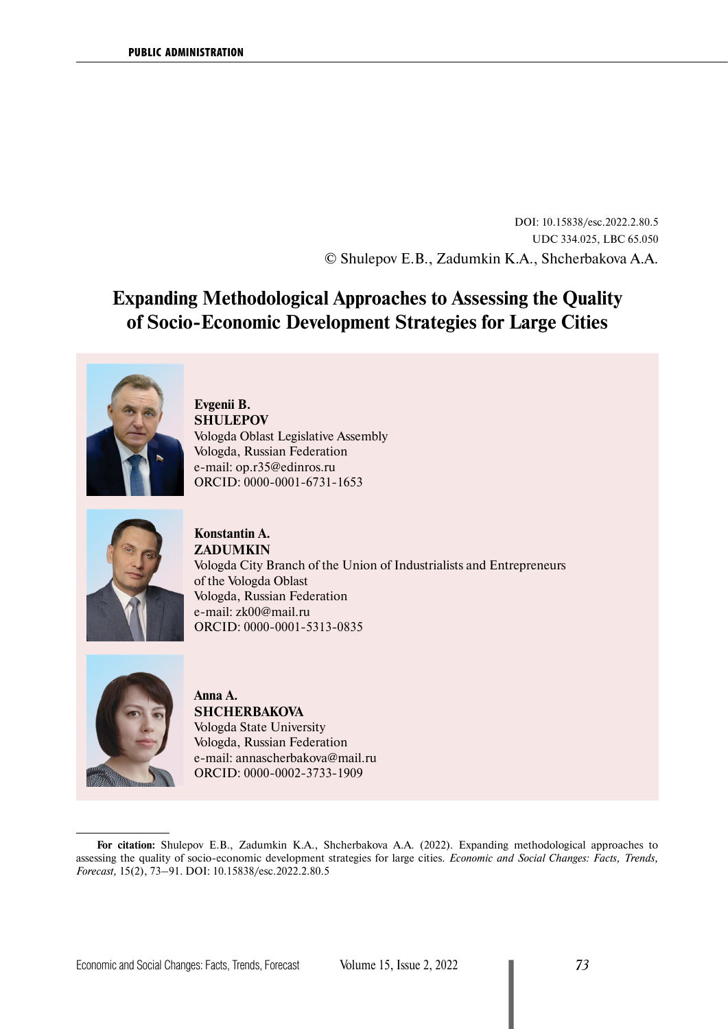DOI: 10.15838/esc.2022.2.80.5 UDC 334.025, LBC 65.050 © Shulepov E.B., Zadumkin K.A., Shcherbakova A.A.

# **Expanding Methodological Approaches to Assessing the Quality of Socio-Economic Development Strategies for Large Cities**



# **Evgenii B. SHULEPOV** Vologda Oblast Legislative Assembly Vologda, Russian Federation e-mail: [op.r35@edinros.ru](mailto:op.r35@edinros.ru) ORCID: [0000-0001-6731-1653](https://orcid.org/0000-0001-6731-1653)



**Konstantin A. ZADUMKIN** Vologda City Branch of the Union of Industrialists and Entrepreneurs of the Vologda Oblast Vologda, Russian Federation e-mail: [zk00@mail.ru](mailto:zk00@mail.ru) ORCID: [0000-0001-5313-0835](https://orcid.org/0000-0001-5313-0835)



# **Anna A. SHCHERBAKOVA** Vologda State University Vologda, Russian Federation e-mail: [annascherbakova@mail.ru](mailto:annascherbakova@mail.ru) ORCID: [0000-0002-3733-1909](https://orcid.org/0000-0002-3733-1909)

**For citation:** Shulepov E.B., Zadumkin K.A., Shcherbakova A.A. (2022). Expanding methodological approaches to assessing the quality of socio-economic development strategies for large cities. *Economic and Social Changes: Facts, Trends, Forecast,* 15(2), 73–91. DOI: 10.15838/esc.2022.2.80.5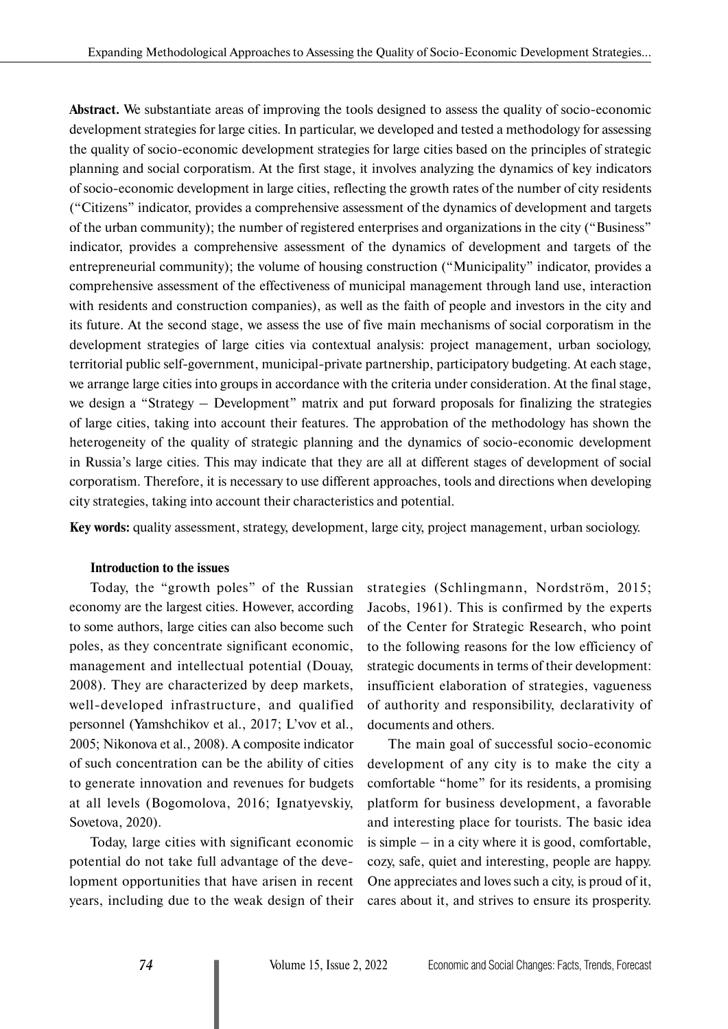**Abstract.** We substantiate areas of improving the tools designed to assess the quality of socio-economic development strategies for large cities. In particular, we developed and tested a methodology for assessing the quality of socio-economic development strategies for large cities based on the principles of strategic planning and social corporatism. At the first stage, it involves analyzing the dynamics of key indicators of socio-economic development in large cities, reflecting the growth rates of the number of city residents ("Citizens" indicator, provides a comprehensive assessment of the dynamics of development and targets of the urban community); the number of registered enterprises and organizations in the city ("Business" indicator, provides a comprehensive assessment of the dynamics of development and targets of the entrepreneurial community); the volume of housing construction ("Municipality" indicator, provides a comprehensive assessment of the effectiveness of municipal management through land use, interaction with residents and construction companies), as well as the faith of people and investors in the city and its future. At the second stage, we assess the use of five main mechanisms of social corporatism in the development strategies of large cities via contextual analysis: project management, urban sociology, territorial public self-government, municipal-private partnership, participatory budgeting. At each stage, we arrange large cities into groups in accordance with the criteria under consideration. At the final stage, we design a "Strategy – Development" matrix and put forward proposals for finalizing the strategies of large cities, taking into account their features. The approbation of the methodology has shown the heterogeneity of the quality of strategic planning and the dynamics of socio-economic development in Russia's large cities. This may indicate that they are all at different stages of development of social corporatism. Therefore, it is necessary to use different approaches, tools and directions when developing city strategies, taking into account their characteristics and potential.

**Key words:** quality assessment, strategy, development, large city, project management, urban sociology.

#### **Introduction to the issues**

Today, the "growth poles" of the Russian economy are the largest cities. However, according to some authors, large cities can also become such poles, as they concentrate significant economic, management and intellectual potential (Douay, 2008). They are characterized by deep markets, well-developed infrastructure, and qualified personnel (Yamshchikov et al., 2017; L'vov et al., 2005; Nikonova et al., 2008). A composite indicator of such concentration can be the ability of cities to generate innovation and revenues for budgets at all levels (Bogomolova, 2016; Ignatyevskiy, Sovetova, 2020).

Today, large cities with significant economic potential do not take full advantage of the development opportunities that have arisen in recent years, including due to the weak design of their strategies (Schlingmann, Nordström, 2015; Jacobs, 1961). This is confirmed by the experts of the Center for Strategic Research, who point to the following reasons for the low efficiency of strategic documents in terms of their development: insufficient elaboration of strategies, vagueness of authority and responsibility, declarativity of documents and others.

The main goal of successful socio-economic development of any city is to make the city a comfortable "home" for its residents, a promising platform for business development, a favorable and interesting place for tourists. The basic idea is simple – in a city where it is good, comfortable, cozy, safe, quiet and interesting, people are happy. One appreciates and loves such a city, is proud of it, cares about it, and strives to ensure its prosperity.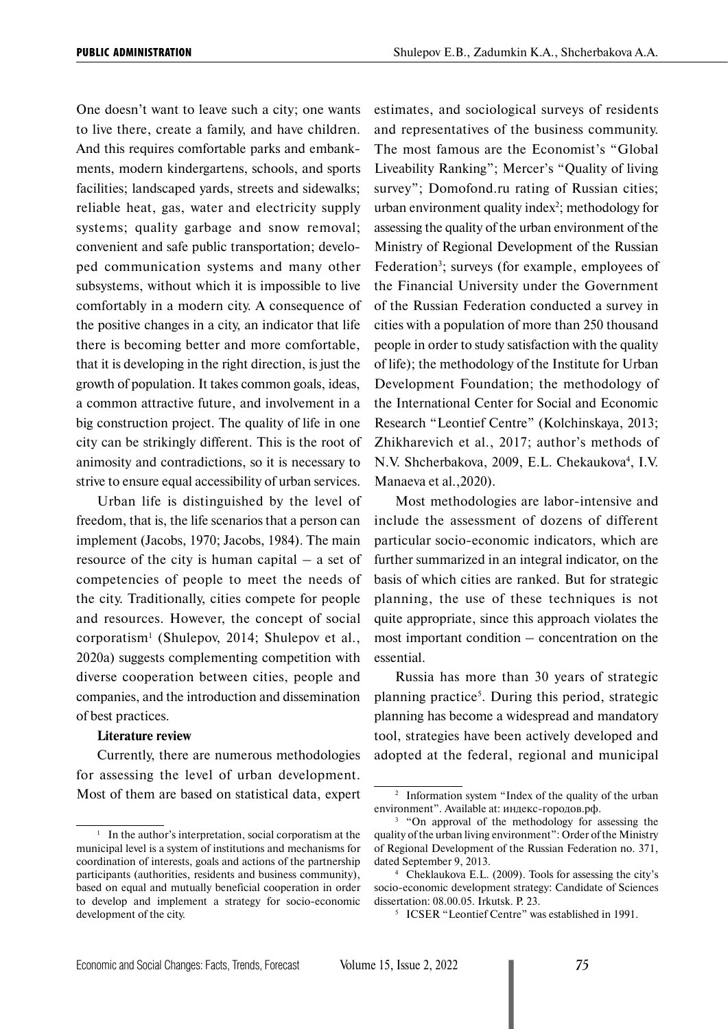One doesn't want to leave such a city; one wants to live there, create a family, and have children. And this requires comfortable parks and embankments, modern kindergartens, schools, and sports facilities; landscaped yards, streets and sidewalks; reliable heat, gas, water and electricity supply systems; quality garbage and snow removal; convenient and safe public transportation; developed communication systems and many other subsystems, without which it is impossible to live comfortably in a modern city. A consequence of the positive changes in a city, an indicator that life there is becoming better and more comfortable, that it is developing in the right direction, is just the growth of population. It takes common goals, ideas, a common attractive future, and involvement in a big construction project. The quality of life in one city can be strikingly different. This is the root of animosity and contradictions, so it is necessary to strive to ensure equal accessibility of urban services.

Urban life is distinguished by the level of freedom, that is, the life scenarios that a person can implement (Jacobs, 1970; Jacobs, 1984). The main resource of the city is human capital – a set of competencies of people to meet the needs of the city. Traditionally, cities compete for people and resources. However, the concept of social corporatism1 (Shulepov, 2014; Shulepov et al., 2020a) suggests complementing competition with diverse cooperation between cities, people and companies, and the introduction and dissemination of best practices.

#### **Literature review**

Currently, there are numerous methodologies for assessing the level of urban development. Most of them are based on statistical data, expert estimates, and sociological surveys of residents and representatives of the business community. The most famous are the Economist's "Global Liveability Ranking"; Mercer's "Quality of living survey"; Domofond.ru rating of Russian cities;  $urban$  environment quality index<sup>2</sup>; methodology for assessing the quality of the urban environment of the Ministry of Regional Development of the Russian Federation<sup>3</sup>; surveys (for example, employees of the Financial University under the Government of the Russian Federation conducted a survey in cities with a population of more than 250 thousand people in order to study satisfaction with the quality of life); the methodology of the Institute for Urban Development Foundation; the methodology of the International Center for Social and Economic Research "Leontief Centre" (Kolchinskaya, 2013; Zhikharevich et al., 2017; author's methods of N.V. Shcherbakova, 2009, E.L. Chekaukova<sup>4</sup>, I.V. Manaeva et al.,2020).

Most methodologies are labor-intensive and include the assessment of dozens of different particular socio-economic indicators, which are further summarized in an integral indicator, on the basis of which cities are ranked. But for strategic planning, the use of these techniques is not quite appropriate, since this approach violates the most important condition – concentration on the essential.

Russia has more than 30 years of strategic planning practice<sup>5</sup>. During this period, strategic planning has become a widespread and mandatory tool, strategies have been actively developed and adopted at the federal, regional and municipal

<sup>&</sup>lt;sup>1</sup> In the author's interpretation, social corporatism at the municipal level is a system of institutions and mechanisms for coordination of interests, goals and actions of the partnership participants (authorities, residents and business community), based on equal and mutually beneficial cooperation in order to develop and implement a strategy for socio-economic development of the city.

<sup>2</sup> Information system "Index of the quality of the urban environment". Available at: индекс-городов.рф.

<sup>&</sup>lt;sup>3</sup> "On approval of the methodology for assessing the quality of the urban living environment": Order of the Ministry of Regional Development of the Russian Federation no. 371, dated September 9, 2013.

<sup>4</sup> Cheklaukova E.L. (2009). Tools for assessing the city's socio-economic development strategy: Candidate of Sciences dissertation: 08.00.05. Irkutsk. P. 23.

<sup>5</sup> ICSER "Leontief Centre" was established in 1991.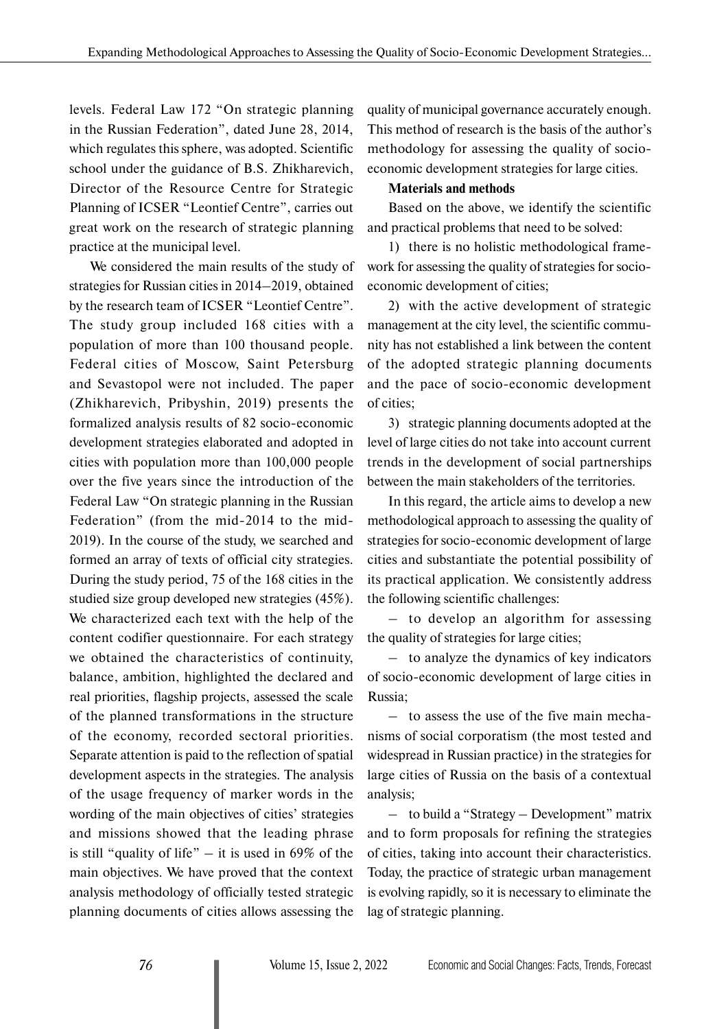levels. Federal Law 172 "On strategic planning in the Russian Federation", dated June 28, 2014, which regulates this sphere, was adopted. Scientific school under the guidance of B.S. Zhikharevich, Director of the Resource Centre for Strategic Planning of ICSER "Leontief Centre", carries out great work on the research of strategic planning practice at the municipal level.

We considered the main results of the study of strategies for Russian cities in 2014–2019, obtained by the research team of ICSER "Leontief Centre". The study group included 168 cities with a population of more than 100 thousand people. Federal cities of Moscow, Saint Petersburg and Sevastopol were not included. The paper (Zhikharevich, Pribyshin, 2019) presents the formalized analysis results of 82 socio-economic development strategies elaborated and adopted in cities with population more than 100,000 people over the five years since the introduction of the Federal Law "On strategic planning in the Russian Federation" (from the mid-2014 to the mid-2019). In the course of the study, we searched and formed an array of texts of official city strategies. During the study period, 75 of the 168 cities in the studied size group developed new strategies (45%). We characterized each text with the help of the content codifier questionnaire. For each strategy we obtained the characteristics of continuity, balance, ambition, highlighted the declared and real priorities, flagship projects, assessed the scale of the planned transformations in the structure of the economy, recorded sectoral priorities. Separate attention is paid to the reflection of spatial development aspects in the strategies. The analysis of the usage frequency of marker words in the wording of the main objectives of cities' strategies and missions showed that the leading phrase is still "quality of life" – it is used in  $69\%$  of the main objectives. We have proved that the context analysis methodology of officially tested strategic planning documents of cities allows assessing the

quality of municipal governance accurately enough. This method of research is the basis of the author's methodology for assessing the quality of socioeconomic development strategies for large cities.

# **Materials and methods**

Based on the above, we identify the scientific and practical problems that need to be solved:

1) there is no holistic methodological framework for assessing the quality of strategies for socioeconomic development of cities;

2) with the active development of strategic management at the city level, the scientific community has not established a link between the content of the adopted strategic planning documents and the pace of socio-economic development of cities;

3) strategic planning documents adopted at the level of large cities do not take into account current trends in the development of social partnerships between the main stakeholders of the territories.

In this regard, the article aims to develop a new methodological approach to assessing the quality of strategies for socio-economic development of large cities and substantiate the potential possibility of its practical application. We consistently address the following scientific challenges:

– to develop an algorithm for assessing the quality of strategies for large cities;

– to analyze the dynamics of key indicators of socio-economic development of large cities in Russia;

– to assess the use of the five main mechanisms of social corporatism (the most tested and widespread in Russian practice) in the strategies for large cities of Russia on the basis of a contextual analysis;

– to build a "Strategy – Development" matrix and to form proposals for refining the strategies of cities, taking into account their characteristics. Today, the practice of strategic urban management is evolving rapidly, so it is necessary to eliminate the lag of strategic planning.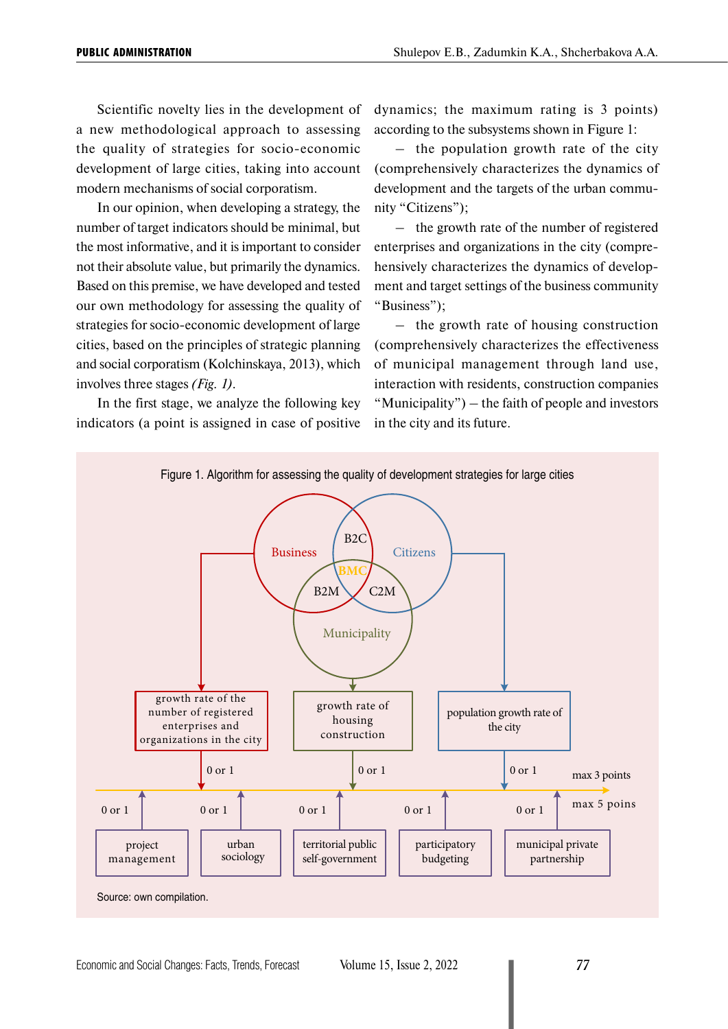Scientific novelty lies in the development of a new methodological approach to assessing the quality of strategies for socio-economic development of large cities, taking into account modern mechanisms of social corporatism.

In our opinion, when developing a strategy, the number of target indicators should be minimal, but the most informative, and it is important to consider not their absolute value, but primarily the dynamics. Based on this premise, we have developed and tested our own methodology for assessing the quality of strategies for socio-economic development of large cities, based on the principles of strategic planning and social corporatism (Kolchinskaya, 2013), which involves three stages *(Fig. 1)*.

In the first stage, we analyze the following key indicators (a point is assigned in case of positive dynamics; the maximum rating is 3 points) according to the subsystems shown in Figure 1:

– the population growth rate of the city (comprehensively characterizes the dynamics of development and the targets of the urban community "Citizens");

– the growth rate of the number of registered enterprises and organizations in the city (comprehensively characterizes the dynamics of development and target settings of the business community "Business");

– the growth rate of housing construction (comprehensively characterizes the effectiveness of municipal management through land use, interaction with residents, construction companies "Municipality") – the faith of people and investors in the city and its future.

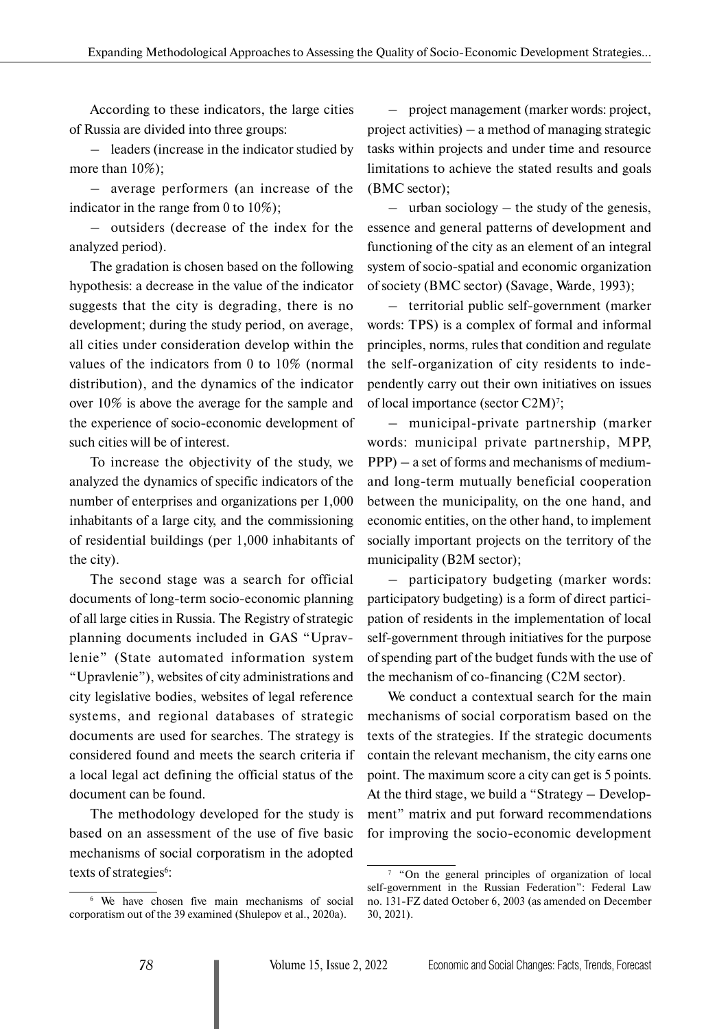According to these indicators, the large cities of Russia are divided into three groups:

– leaders (increase in the indicator studied by more than 10%);

– average performers (an increase of the indicator in the range from 0 to 10%);

– outsiders (decrease of the index for the analyzed period).

The gradation is chosen based on the following hypothesis: a decrease in the value of the indicator suggests that the city is degrading, there is no development; during the study period, on average, all cities under consideration develop within the values of the indicators from 0 to 10% (normal distribution), and the dynamics of the indicator over 10% is above the average for the sample and the experience of socio-economic development of such cities will be of interest.

To increase the objectivity of the study, we analyzed the dynamics of specific indicators of the number of enterprises and organizations per 1,000 inhabitants of a large city, and the commissioning of residential buildings (per 1,000 inhabitants of the city).

The second stage was a search for official documents of long-term socio-economic planning of all large cities in Russia. The Registry of strategic planning documents included in GAS "Upravlenie" (State automated information system "Upravlenie"), websites of city administrations and city legislative bodies, websites of legal reference systems, and regional databases of strategic documents are used for searches. The strategy is considered found and meets the search criteria if a local legal act defining the official status of the document can be found.

The methodology developed for the study is based on an assessment of the use of five basic mechanisms of social corporatism in the adopted texts of strategies<sup>6</sup>:

– project management (marker words: project, project activities) – a method of managing strategic tasks within projects and under time and resource limitations to achieve the stated results and goals (BMC sector);

 $-$  urban sociology  $-$  the study of the genesis, essence and general patterns of development and functioning of the city as an element of an integral system of socio-spatial and economic organization of society (BMC sector) (Savage, Warde, 1993);

– territorial public self-government (marker words: TPS) is a complex of formal and informal principles, norms, rules that condition and regulate the self-organization of city residents to independently carry out their own initiatives on issues of local importance (sector C2M)<sup>7</sup>;

– municipal-private partnership (marker words: municipal private partnership, MPP, PPP) – a set of forms and mechanisms of mediumand long-term mutually beneficial cooperation between the municipality, on the one hand, and economic entities, on the other hand, to implement socially important projects on the territory of the municipality (B2M sector);

– participatory budgeting (marker words: participatory budgeting) is a form of direct participation of residents in the implementation of local self-government through initiatives for the purpose of spending part of the budget funds with the use of the mechanism of co-financing (C2M sector).

We conduct a contextual search for the main mechanisms of social corporatism based on the texts of the strategies. If the strategic documents contain the relevant mechanism, the city earns one point. The maximum score a city can get is 5 points. At the third stage, we build a "Strategy – Development" matrix and put forward recommendations for improving the socio-economic development

<sup>6</sup> We have chosen five main mechanisms of social corporatism out of the 39 examined (Shulepov et al., 2020a).

<sup>7</sup> "On the general principles of organization of local self-government in the Russian Federation": Federal Law no. 131-FZ dated October 6, 2003 (as amended on December 30, 2021).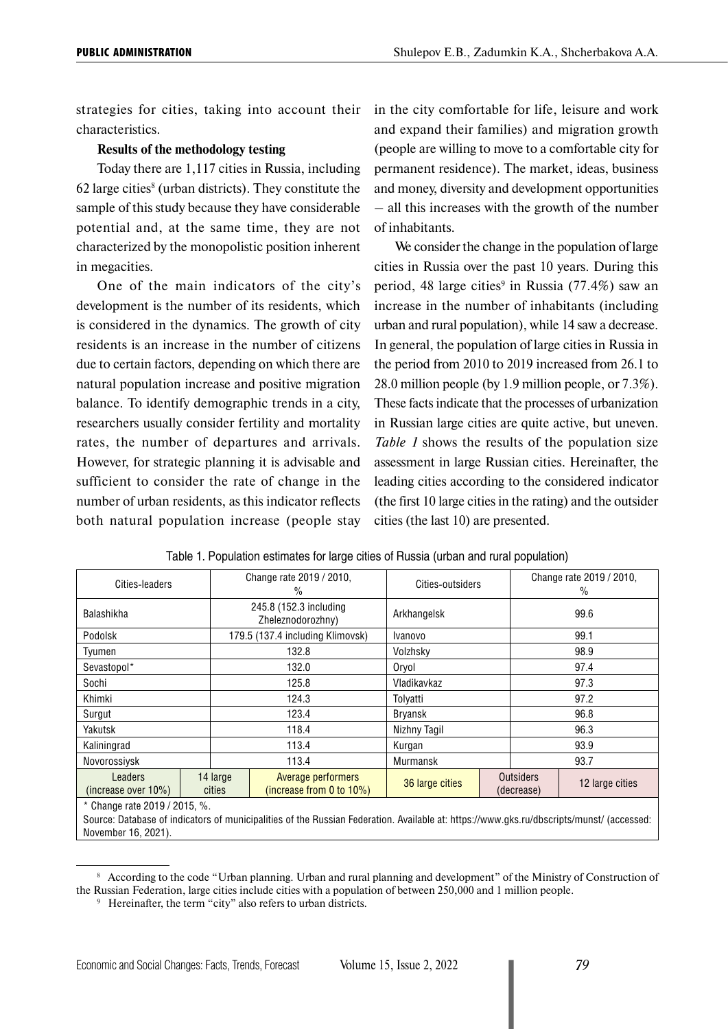strategies for cities, taking into account their characteristics.

#### **Results of the methodology testing**

Today there are 1,117 cities in Russia, including  $62$  large cities $^8$  (urban districts). They constitute the sample of this study because they have considerable potential and, at the same time, they are not characterized by the monopolistic position inherent in megacities.

One of the main indicators of the city's development is the number of its residents, which is considered in the dynamics. The growth of city residents is an increase in the number of citizens due to certain factors, depending on which there are natural population increase and positive migration balance. To identify demographic trends in a city, researchers usually consider fertility and mortality rates, the number of departures and arrivals. However, for strategic planning it is advisable and sufficient to consider the rate of change in the number of urban residents, as this indicator reflects both natural population increase (people stay in the city comfortable for life, leisure and work and expand their families) and migration growth (people are willing to move to a comfortable city for permanent residence). The market, ideas, business and money, diversity and development opportunities – all this increases with the growth of the number of inhabitants.

We consider the change in the population of large cities in Russia over the past 10 years. During this period, 48 large cities<sup>9</sup> in Russia  $(77.4%)$  saw an increase in the number of inhabitants (including urban and rural population), while 14 saw a decrease. In general, the population of large cities in Russia in the period from 2010 to 2019 increased from 26.1 to 28.0 million people (by 1.9 million people, or 7.3%). These facts indicate that the processes of urbanization in Russian large cities are quite active, but uneven. *Table 1* shows the results of the population size assessment in large Russian cities. Hereinafter, the leading cities according to the considered indicator (the first 10 large cities in the rating) and the outsider cities (the last 10) are presented.

| Cities-leaders                 |  |                    | Change rate 2019 / 2010,<br>$\frac{0}{0}$          | Cities-outsiders |  |                                | Change rate 2019 / 2010,<br>$\%$ |
|--------------------------------|--|--------------------|----------------------------------------------------|------------------|--|--------------------------------|----------------------------------|
| <b>Balashikha</b>              |  |                    | 245.8 (152.3 including<br>Zheleznodorozhny)        | Arkhangelsk      |  | 99.6                           |                                  |
| Podolsk                        |  |                    | 179.5 (137.4 including Klimovsk)                   | Ivanovo          |  | 99.1                           |                                  |
| Tyumen                         |  | 132.8              |                                                    | Volzhsky         |  | 98.9                           |                                  |
| Sevastopol*                    |  | 132.0              |                                                    | Oryol            |  | 97.4                           |                                  |
| Sochi                          |  | 125.8              |                                                    | Vladikavkaz      |  | 97.3                           |                                  |
| Khimki                         |  | 124.3              |                                                    | Tolvatti         |  |                                | 97.2                             |
| Surgut                         |  |                    | 123.4                                              | <b>Bryansk</b>   |  | 96.8                           |                                  |
| Yakutsk                        |  |                    | 118.4                                              | Nizhny Tagil     |  | 96.3                           |                                  |
| Kaliningrad                    |  |                    | 113.4                                              | Kurgan           |  | 93.9                           |                                  |
| Novorossiysk                   |  |                    | 113.4                                              | Murmansk         |  |                                | 93.7                             |
| Leaders<br>(increase over 10%) |  | 14 large<br>cities | Average performers<br>(increase from 0 to $10\%$ ) | 36 large cities  |  | <b>Outsiders</b><br>(decrease) | 12 large cities                  |
| * Change rate 2019 / 2015, %.  |  |                    |                                                    |                  |  |                                |                                  |

| Table 1. Population estimates for large cities of Russia (urban and rural population) |  |  |  |  |
|---------------------------------------------------------------------------------------|--|--|--|--|
|                                                                                       |  |  |  |  |

Source: Database of indicators of municipalities of the Russian Federation. Available at: https://www.gks.ru/dbscripts/munst/ (accessed: November 16, 2021).

<sup>8</sup> According to the code "Urban planning. Urban and rural planning and development" of the Ministry of Construction of the Russian Federation, large cities include cities with a population of between 250,000 and 1 million people.

<sup>&</sup>lt;sup>9</sup> Hereinafter, the term "city" also refers to urban districts.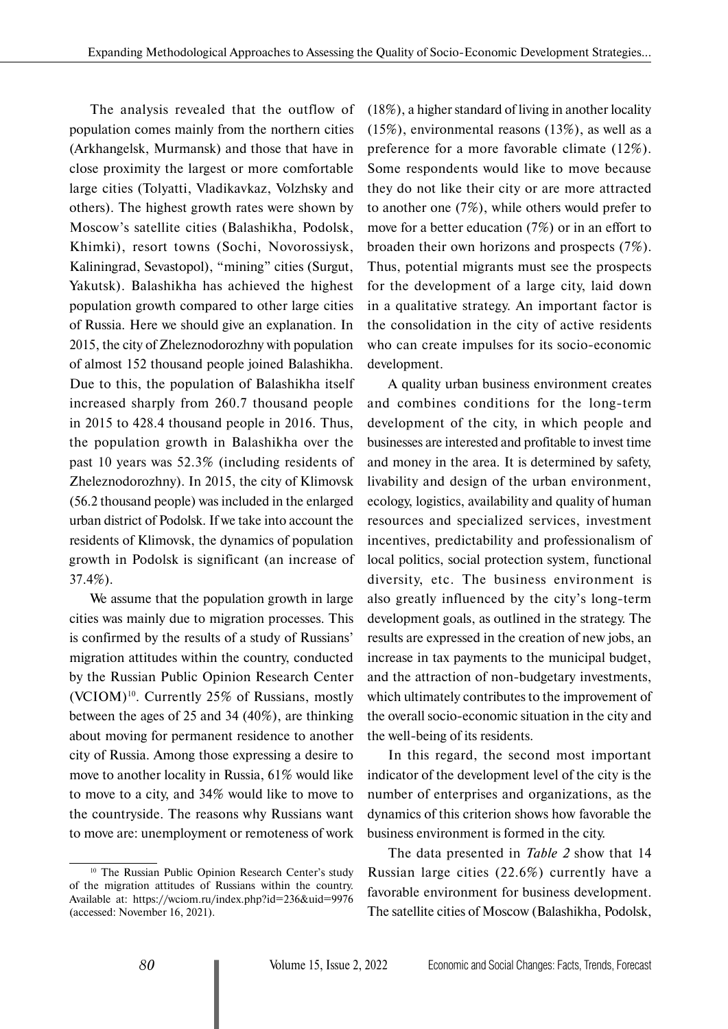The analysis revealed that the outflow of population comes mainly from the northern cities (Arkhangelsk, Murmansk) and those that have in close proximity the largest or more comfortable large cities (Tolyatti, Vladikavkaz, Volzhsky and others). The highest growth rates were shown by Moscow's satellite cities (Balashikha, Podolsk, Khimki), resort towns (Sochi, Novorossiysk, Kaliningrad, Sevastopol), "mining" cities (Surgut, Yakutsk). Balashikha has achieved the highest population growth compared to other large cities of Russia. Here we should give an explanation. In 2015, the city of Zheleznodorozhny with population of almost 152 thousand people joined Balashikha. Due to this, the population of Balashikha itself increased sharply from 260.7 thousand people in 2015 to 428.4 thousand people in 2016. Thus, the population growth in Balashikha over the past 10 years was 52.3% (including residents of Zheleznodorozhny). In 2015, the city of Klimovsk (56.2 thousand people) was included in the enlarged urban district of Podolsk. If we take into account the residents of Klimovsk, the dynamics of population growth in Podolsk is significant (an increase of 37.4%).

We assume that the population growth in large. cities was mainly due to migration processes. This is confirmed by the results of a study of Russians' migration attitudes within the country, conducted by the Russian Public Opinion Research Center (VCIOM)10. Currently 25% of Russians, mostly between the ages of 25 and 34 (40%), are thinking about moving for permanent residence to another city of Russia. Among those expressing a desire to move to another locality in Russia, 61% would like to move to a city, and 34% would like to move to the countryside. The reasons why Russians want to move are: unemployment or remoteness of work

(18%), a higher standard of living in another locality (15%), environmental reasons (13%), as well as a preference for a more favorable climate (12%). Some respondents would like to move because they do not like their city or are more attracted to another one (7%), while others would prefer to move for a better education (7%) or in an effort to broaden their own horizons and prospects (7%). Thus, potential migrants must see the prospects for the development of a large city, laid down in a qualitative strategy. An important factor is the consolidation in the city of active residents who can create impulses for its socio-economic development.

A quality urban business environment creates and combines conditions for the long-term development of the city, in which people and businesses are interested and profitable to invest time and money in the area. It is determined by safety, livability and design of the urban environment, ecology, logistics, availability and quality of human resources and specialized services, investment incentives, predictability and professionalism of local politics, social protection system, functional diversity, etc. The business environment is also greatly influenced by the city's long-term development goals, as outlined in the strategy. The results are expressed in the creation of new jobs, an increase in tax payments to the municipal budget, and the attraction of non-budgetary investments, which ultimately contributes to the improvement of the overall socio-economic situation in the city and the well-being of its residents.

In this regard, the second most important indicator of the development level of the city is the number of enterprises and organizations, as the dynamics of this criterion shows how favorable the business environment is formed in the city.

The data presented in *Table 2* show that 14 Russian large cities (22.6%) currently have a favorable environment for business development. The satellite cities of Moscow (Balashikha, Podolsk,

<sup>&</sup>lt;sup>10</sup> The Russian Public Opinion Research Center's study of the migration attitudes of Russians within the country. Available at: https://wciom.ru/index.php?id=236&uid=9976 (accessed: November 16, 2021).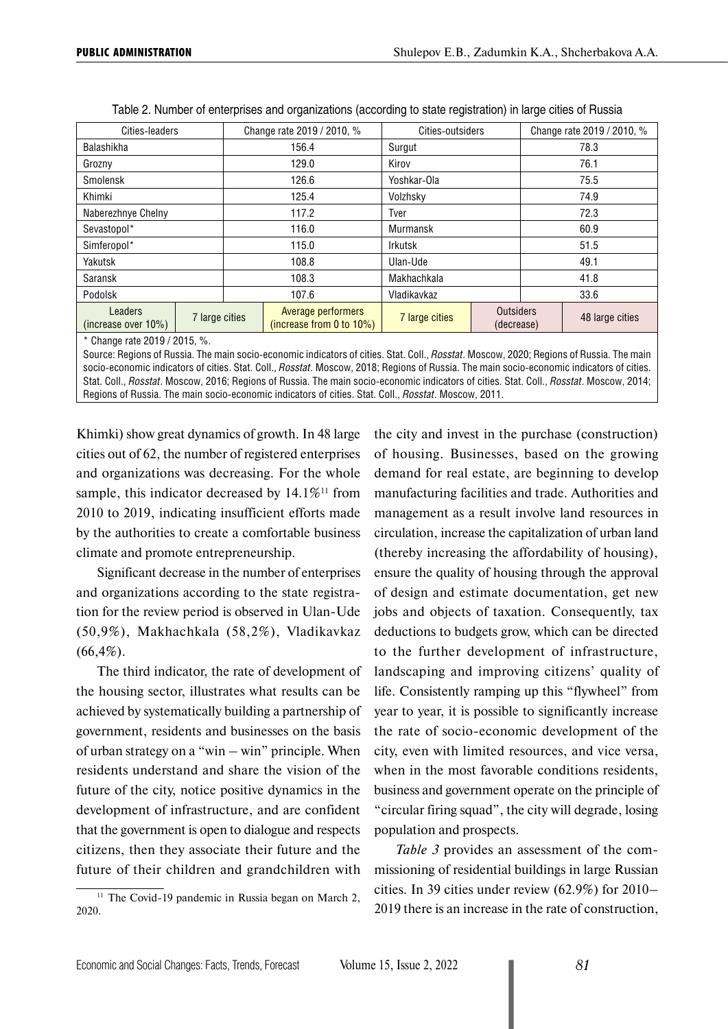| Cities-leaders                     |                             |       | Change rate 2019 / 2010, %                     | Cities-outsiders |                                |      | Change rate 2019 / 2010, % |
|------------------------------------|-----------------------------|-------|------------------------------------------------|------------------|--------------------------------|------|----------------------------|
| Balashikha                         |                             |       | 156.4                                          | Surgut           |                                |      | 78.3                       |
| Grozny                             |                             |       | 129.0                                          | Kirov            |                                |      | 76.1                       |
| Smolensk                           |                             |       | 126.6                                          | Yoshkar-Ola      |                                | 75.5 |                            |
| Khimki                             |                             | 125.4 |                                                | Volzhsky         |                                | 74.9 |                            |
| Naberezhnye Chelny                 |                             | 117.2 |                                                | Tver             |                                | 72.3 |                            |
| Sevastopol*                        |                             |       | 116.0                                          | Murmansk         |                                | 60.9 |                            |
| Simferopol*                        |                             |       | 115.0                                          | <b>Irkutsk</b>   |                                | 51.5 |                            |
| Yakutsk                            |                             |       | 108.8                                          | Ulan-Ude         |                                |      | 49.1                       |
| Saransk                            |                             |       | 108.3                                          | Makhachkala      |                                |      | 41.8                       |
| Podolsk                            | 107.6                       |       | Vladikavkaz                                    |                  |                                | 33.6 |                            |
| Leaders<br>(increase over $10\%$ ) | 7 large cities              |       | Average performers<br>(increase from 0 to 10%) | 7 large cities   | <b>Outsiders</b><br>(decrease) |      | 48 large cities            |
|                                    | * Change rate $2019/2015$ % |       |                                                |                  |                                |      |                            |

| Table 2. Number of enterprises and organizations (according to state registration) in large cities of Russia |  |  |
|--------------------------------------------------------------------------------------------------------------|--|--|
|                                                                                                              |  |  |

0 Change rate 2019 / 2015, %

Source: Regions of Russia. The main socio-economic indicators of cities. Stat. Coll., *Rosstat*. Moscow, 2020; Regions of Russia. The main socio-economic indicators of cities. Stat. Coll., *Rosstat*. Moscow, 2018; Regions of Russia. The main socio-economic indicators of cities. Stat. Coll., *Rosstat*. Moscow, 2016; Regions of Russia. The main socio-economic indicators of cities. Stat. Coll., *Rosstat*. Moscow, 2014; Regions of Russia. The main socio-economic indicators of cities. Stat. Coll., *Rosstat*. Moscow, 2011.

Khimki) show great dynamics of growth. In 48 large cities out of 62, the number of registered enterprises and organizations was decreasing. For the whole sample, this indicator decreased by  $14.1\%$ <sup>11</sup> from 2010 to 2019, indicating insufficient efforts made by the authorities to create a comfortable business climate and promote entrepreneurship.

Significant decrease in the number of enterprises and organizations according to the state registration for the review period is observed in Ulan-Ude (50,9%), Makhachkala (58,2%), Vladikavkaz  $(66, 4\%)$ .

The third indicator, the rate of development of the housing sector, illustrates what results can be achieved by systematically building a partnership of government, residents and businesses on the basis of urban strategy on a "win – win" principle. When residents understand and share the vision of the future of the city, notice positive dynamics in the development of infrastructure, and are confident that the government is open to dialogue and respects citizens, then they associate their future and the future of their children and grandchildren with

 $11$  The Covid-19 pandemic in Russia began on March 2, 2020.

the city and invest in the purchase (construction) of housing. Businesses, based on the growing demand for real estate, are beginning to develop manufacturing facilities and trade. Authorities and management as a result involve land resources in circulation, increase the capitalization of urban land (thereby increasing the affordability of housing), ensure the quality of housing through the approval of design and estimate documentation, get new jobs and objects of taxation. Consequently, tax deductions to budgets grow, which can be directed to the further development of infrastructure, landscaping and improving citizens' quality of life. Consistently ramping up this "flywheel" from year to year, it is possible to significantly increase the rate of socio-economic development of the city, even with limited resources, and vice versa, when in the most favorable conditions residents, business and government operate on the principle of "circular firing squad", the city will degrade, losing population and prospects.

*Table 3* provides an assessment of the commissioning of residential buildings in large Russian cities. In 39 cities under review (62.9%) for 2010– 2019 there is an increase in the rate of construction,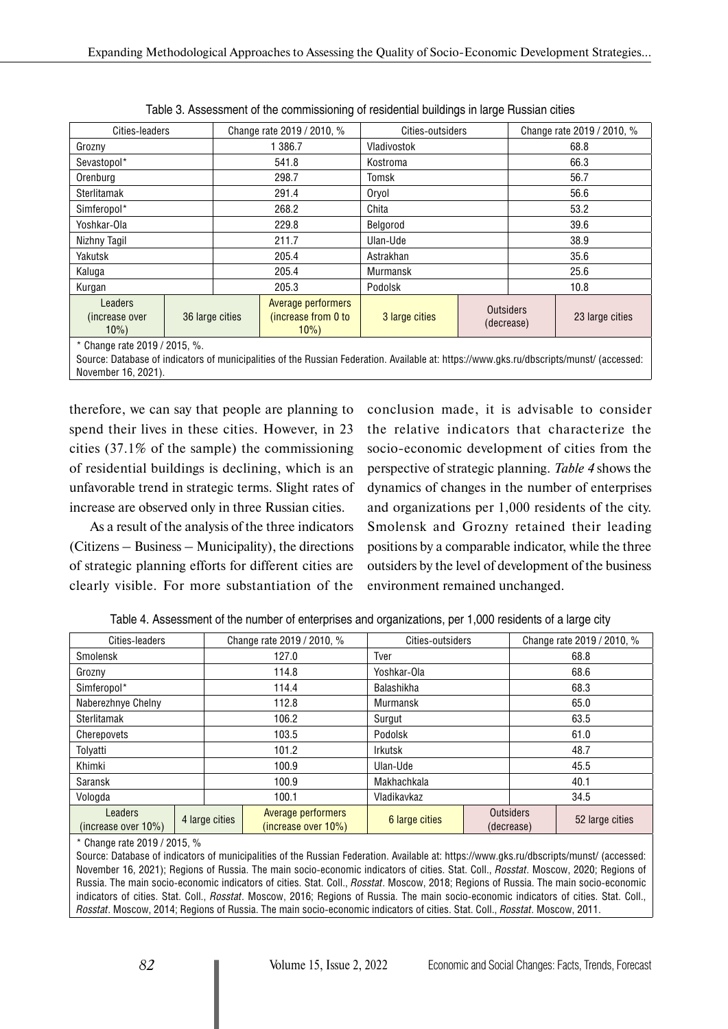| Cities-leaders                               |  |                 | Change rate 2019 / 2010, %                          | Cities-outsiders |                  |            | Change rate 2019 / 2010, % |
|----------------------------------------------|--|-----------------|-----------------------------------------------------|------------------|------------------|------------|----------------------------|
| Grozny                                       |  |                 | 1 386.7                                             | Vladivostok      |                  |            | 68.8                       |
| Sevastopol*                                  |  |                 | 541.8                                               | Kostroma         |                  | 66.3       |                            |
| Orenburg                                     |  |                 | 298.7                                               | Tomsk            |                  |            | 56.7                       |
| Sterlitamak                                  |  | 291.4           |                                                     | Oryol            |                  | 56.6       |                            |
| Simferopol*                                  |  |                 | 268.2                                               | Chita            |                  | 53.2       |                            |
| Yoshkar-Ola                                  |  |                 | 229.8                                               | Belgorod         |                  | 39.6       |                            |
| Nizhny Tagil                                 |  |                 | 211.7                                               | Ulan-Ude         |                  | 38.9       |                            |
| Yakutsk                                      |  |                 | 205.4                                               | Astrakhan        |                  |            | 35.6                       |
| Kaluga                                       |  |                 | 205.4                                               | <b>Murmansk</b>  |                  |            | 25.6                       |
| Kurgan                                       |  |                 | 205.3                                               | Podolsk          |                  |            | 10.8                       |
| <b>Leaders</b><br>(increase over<br>$10\%$ ) |  | 36 large cities | Average performers<br>(increase from 0 to<br>$10\%$ | 3 large cities   | <b>Outsiders</b> | (decrease) | 23 large cities            |
| * Change rate $2019/2015.$ %                 |  |                 |                                                     |                  |                  |            |                            |

Table 3. Assessment of the commissioning of residential buildings in large Russian cities

\* Change rate 2019 / 2015, %.

Source: Database of indicators of municipalities of the Russian Federation. Available at: https://www.gks.ru/dbscripts/munst/ (accessed: November 16, 2021).

therefore, we can say that people are planning to spend their lives in these cities. However, in 23 cities (37.1% of the sample) the commissioning of residential buildings is declining, which is an unfavorable trend in strategic terms. Slight rates of increase are observed only in three Russian cities.

As a result of the analysis of the three indicators (Citizens – Business – Municipality), the directions of strategic planning efforts for different cities are clearly visible. For more substantiation of the conclusion made, it is advisable to consider the relative indicators that characterize the socio-economic development of cities from the perspective of strategic planning. *Table 4* shows the dynamics of changes in the number of enterprises and organizations per 1,000 residents of the city. Smolensk and Grozny retained their leading positions by a comparable indicator, while the three outsiders by the level of development of the business environment remained unchanged.

| Cities-leaders                 |       |                | Change rate 2019 / 2010, %                | Cities-outsiders |      |                                | Change rate 2019 / 2010, % |
|--------------------------------|-------|----------------|-------------------------------------------|------------------|------|--------------------------------|----------------------------|
| Smolensk                       |       |                | 127.0                                     | Tver             |      | 68.8                           |                            |
| Grozny                         |       |                | 114.8                                     | Yoshkar-Ola      |      | 68.6                           |                            |
| Simferopol*                    |       | 114.4          |                                           | Balashikha       |      |                                | 68.3                       |
| Naberezhnye Chelny             |       |                | 112.8                                     | Murmansk         |      | 65.0                           |                            |
| Sterlitamak                    |       |                | 106.2                                     | Surgut           | 63.5 |                                |                            |
| Cherepovets                    |       | 103.5          |                                           | Podolsk          |      |                                | 61.0                       |
| Tolyatti                       | 101.2 |                | Irkutsk                                   |                  |      | 48.7                           |                            |
| Khimki                         |       |                | 100.9                                     | Ulan-Ude         |      |                                | 45.5                       |
| Saransk                        |       |                | 100.9                                     | Makhachkala      |      |                                | 40.1                       |
| Vologda                        |       |                | 100.1                                     | Vladikavkaz      |      |                                | 34.5                       |
| Leaders<br>(increase over 10%) |       | 4 large cities | Average performers<br>(increase over 10%) | 6 large cities   |      | <b>Outsiders</b><br>(decrease) | 52 large cities            |

Table 4. Assessment of the number of enterprises and organizations, per 1,000 residents of a large city

\* Change rate 2019 / 2015, %

Source: Database of indicators of municipalities of the Russian Federation. Available at: https://www.gks.ru/dbscripts/munst/ (accessed: November 16, 2021); Regions of Russia. The main socio-economic indicators of cities. Stat. Coll., *Rosstat*. Moscow, 2020; Regions of Russia. The main socio-economic indicators of cities. Stat. Coll., *Rosstat*. Moscow, 2018; Regions of Russia. The main socio-economic indicators of cities. Stat. Coll., *Rosstat*. Moscow, 2016; Regions of Russia. The main socio-economic indicators of cities. Stat. Coll., *Rosstat*. Moscow, 2014; Regions of Russia. The main socio-economic indicators of cities. Stat. Coll., *Rosstat*. Moscow, 2011.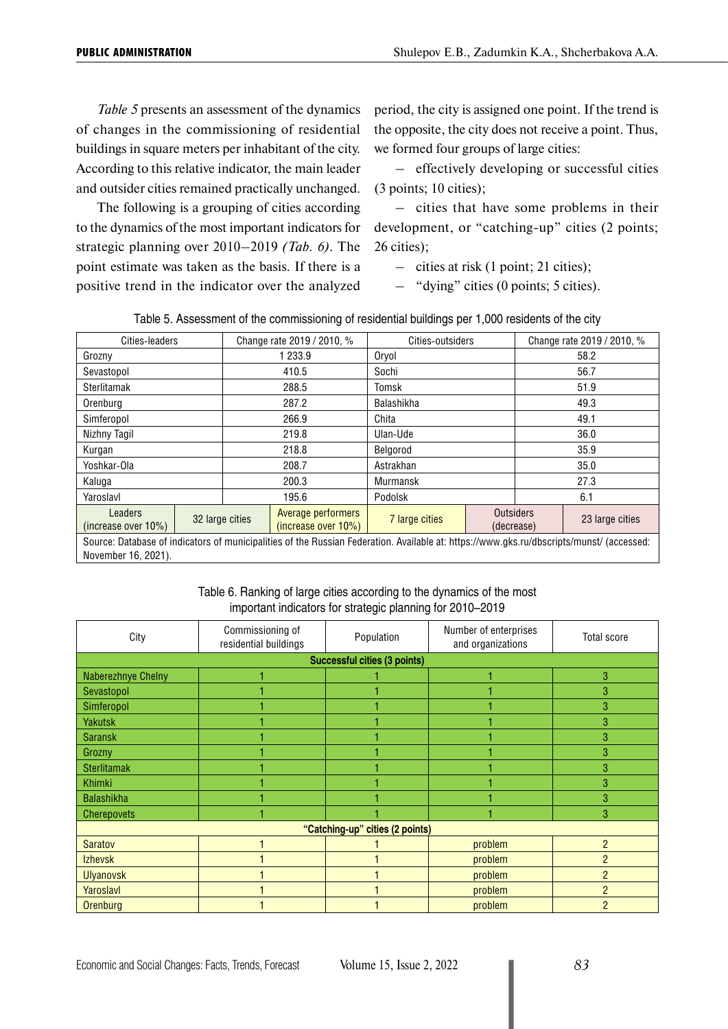*Table 5* presents an assessment of the dynamics of changes in the commissioning of residential buildings in square meters per inhabitant of the city. According to this relative indicator, the main leader and outsider cities remained practically unchanged.

The following is a grouping of cities according to the dynamics of the most important indicators for strategic planning over 2010–2019 *(Tab. 6)*. The point estimate was taken as the basis. If there is a positive trend in the indicator over the analyzed period, the city is assigned one point. If the trend is the opposite, the city does not receive a point. Thus, we formed four groups of large cities:

– effectively developing or successful cities (3 points; 10 cities);

– cities that have some problems in their development, or "catching-up" cities (2 points; 26 cities);

– cities at risk (1 point; 21 cities);

– "dying" cities (0 points; 5 cities).

| Table 5. Assessment of the commissioning of residential buildings per 1,000 residents of the city |
|---------------------------------------------------------------------------------------------------|
|                                                                                                   |

| Cities-leaders                                                                                                                                                  |  |                 | Change rate 2019 / 2010, %                | Cities-outsiders |                  |            | Change rate 2019 / 2010, % |
|-----------------------------------------------------------------------------------------------------------------------------------------------------------------|--|-----------------|-------------------------------------------|------------------|------------------|------------|----------------------------|
| Grozny                                                                                                                                                          |  |                 | 1 233.9                                   | Oryol            |                  |            | 58.2                       |
| Sevastopol                                                                                                                                                      |  |                 | 410.5                                     | Sochi            |                  |            | 56.7                       |
| Sterlitamak                                                                                                                                                     |  |                 | 288.5                                     | Tomsk            |                  | 51.9       |                            |
| Orenburg                                                                                                                                                        |  |                 | 287.2                                     | Balashikha       |                  | 49.3       |                            |
| Simferopol                                                                                                                                                      |  |                 | 266.9                                     | Chita            |                  | 49.1       |                            |
| Nizhny Tagil                                                                                                                                                    |  |                 | 219.8                                     | Ulan-Ude         |                  | 36.0       |                            |
| Kurgan                                                                                                                                                          |  |                 | 218.8                                     | Belgorod         |                  | 35.9       |                            |
| Yoshkar-Ola                                                                                                                                                     |  |                 | 208.7                                     | Astrakhan        |                  | 35.0       |                            |
| Kaluga                                                                                                                                                          |  |                 | 200.3                                     | <b>Murmansk</b>  |                  | 27.3       |                            |
| Yaroslavl                                                                                                                                                       |  |                 | 195.6                                     | Podolsk          |                  |            | 6.1                        |
| Leaders<br>(increase over 10%)                                                                                                                                  |  | 32 large cities | Average performers<br>(increase over 10%) | 7 large cities   | <b>Outsiders</b> | (decrease) | 23 large cities            |
| Source: Database of indicators of municipalities of the Russian Federation. Available at: https://www.gks.ru/dbscripts/munst/ (accessed:<br>November 16, 2021). |  |                 |                                           |                  |                  |            |                            |

#### Table 6. Ranking of large cities according to the dynamics of the most important indicators for strategic planning for 2010–2019

| City                      | Commissioning of<br>residential buildings | Population                          | Number of enterprises<br>and organizations | <b>Total score</b> |
|---------------------------|-------------------------------------------|-------------------------------------|--------------------------------------------|--------------------|
|                           |                                           | <b>Successful cities (3 points)</b> |                                            |                    |
| <b>Naberezhnye Chelny</b> |                                           |                                     |                                            | 3                  |
| Sevastopol                |                                           |                                     |                                            | 3                  |
| Simferopol                |                                           |                                     |                                            | 3                  |
| <b>Yakutsk</b>            |                                           |                                     |                                            | 3                  |
| <b>Saransk</b>            |                                           |                                     |                                            | 3                  |
| Grozny                    |                                           |                                     |                                            | 3                  |
| <b>Sterlitamak</b>        |                                           |                                     |                                            | 3                  |
| Khimki                    |                                           |                                     |                                            | 3                  |
| <b>Balashikha</b>         |                                           |                                     |                                            | 3                  |
| Cherepovets               |                                           |                                     |                                            | 3                  |
|                           |                                           | "Catching-up" cities (2 points)     |                                            |                    |
| <b>Saratov</b>            |                                           |                                     | problem                                    | $\overline{2}$     |
| <b>Izhevsk</b>            |                                           |                                     | problem                                    | $\overline{2}$     |
| <b>Ulyanovsk</b>          |                                           |                                     | problem                                    | $\overline{2}$     |
| Yaroslavl                 |                                           |                                     | problem                                    | $\overline{2}$     |
| Orenburg                  |                                           |                                     | problem                                    | $\mathfrak{p}$     |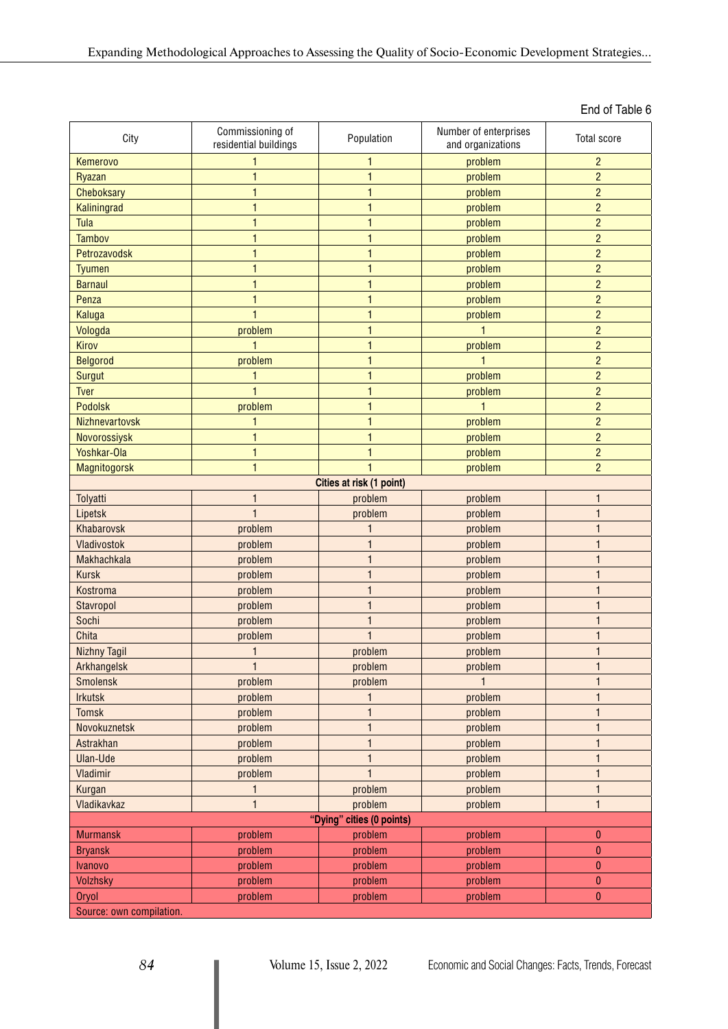| City                     | Commissioning of<br>residential buildings | Population                | Number of enterprises<br>and organizations | <b>Total score</b> |  |  |  |  |  |  |
|--------------------------|-------------------------------------------|---------------------------|--------------------------------------------|--------------------|--|--|--|--|--|--|
| Kemerovo                 |                                           | 1                         | problem                                    | $\overline{c}$     |  |  |  |  |  |  |
| <b>Ryazan</b>            | 1                                         | 1                         | problem                                    | $\overline{c}$     |  |  |  |  |  |  |
| <b>Cheboksary</b>        | 1                                         | $\mathbf{1}$              | problem                                    | $\overline{c}$     |  |  |  |  |  |  |
| Kaliningrad              | 1                                         | $\mathbf{1}$              | problem                                    | $\overline{c}$     |  |  |  |  |  |  |
| Tula                     | 1                                         | 1                         | problem                                    | $\overline{c}$     |  |  |  |  |  |  |
| <b>Tambov</b>            |                                           | 1                         | problem                                    | $\overline{c}$     |  |  |  |  |  |  |
| Petrozavodsk             | 1                                         | $\mathbf{1}$              | problem                                    | $\overline{c}$     |  |  |  |  |  |  |
| <b>Tyumen</b>            |                                           | $\mathbf{1}$              | problem                                    | $\overline{c}$     |  |  |  |  |  |  |
| <b>Barnaul</b>           |                                           | $\mathbf{1}$              | problem                                    | $\overline{c}$     |  |  |  |  |  |  |
| Penza                    |                                           | $\mathbf{1}$              | problem                                    | $\overline{c}$     |  |  |  |  |  |  |
| Kaluga                   |                                           | $\mathbf{1}$              | problem                                    | $\overline{2}$     |  |  |  |  |  |  |
| Vologda                  | problem                                   | 1                         |                                            | $\overline{2}$     |  |  |  |  |  |  |
| Kirov                    |                                           | 1                         | problem                                    | $\overline{c}$     |  |  |  |  |  |  |
| Belgorod                 | problem                                   | 1                         |                                            | $\overline{c}$     |  |  |  |  |  |  |
| Surgut                   | 1                                         | $\mathbf{1}$              | problem                                    | $\overline{2}$     |  |  |  |  |  |  |
| Tver                     |                                           | $\mathbf{1}$              | problem                                    | $\overline{c}$     |  |  |  |  |  |  |
| Podolsk                  | problem                                   | 1                         | 1                                          | $\overline{c}$     |  |  |  |  |  |  |
| Nizhnevartovsk           |                                           | $\mathbf{1}$              | problem                                    | $\overline{2}$     |  |  |  |  |  |  |
| <b>Novorossiysk</b>      |                                           | $\mathbf{1}$              | problem                                    | $\overline{2}$     |  |  |  |  |  |  |
| Yoshkar-Ola              | 1                                         | $\mathbf{1}$              | problem                                    | $\overline{c}$     |  |  |  |  |  |  |
| <b>Magnitogorsk</b>      | $\mathbf{1}$                              | 1                         | problem                                    | $\overline{c}$     |  |  |  |  |  |  |
| Cities at risk (1 point) |                                           |                           |                                            |                    |  |  |  |  |  |  |
| Tolyatti                 |                                           | problem                   | problem                                    | 1                  |  |  |  |  |  |  |
| Lipetsk                  |                                           | problem                   | problem                                    | 1                  |  |  |  |  |  |  |
| Khabarovsk               | problem                                   | $\mathbf{1}$              | problem                                    | 1                  |  |  |  |  |  |  |
| Vladivostok              | problem                                   | 1                         | problem                                    | 1                  |  |  |  |  |  |  |
| <b>Makhachkala</b>       | problem                                   | $\mathbf{1}$              | problem                                    | 1                  |  |  |  |  |  |  |
| <b>Kursk</b>             | problem                                   | $\mathbf{1}$              | problem                                    | 1                  |  |  |  |  |  |  |
| Kostroma                 | problem                                   | 1                         | problem                                    | 1                  |  |  |  |  |  |  |
| <b>Stavropol</b>         | problem                                   | $\mathbf{1}$              | problem                                    | 1                  |  |  |  |  |  |  |
| Sochi                    | problem                                   | $\mathbf{1}$              | problem                                    | 1                  |  |  |  |  |  |  |
| Chita                    | problem                                   | $\mathbf{1}$              | problem                                    | $\mathbf{1}$       |  |  |  |  |  |  |
| <b>Nizhny Tagil</b>      |                                           | problem                   | problem                                    | 1                  |  |  |  |  |  |  |
| Arkhangelsk              |                                           | problem                   | problem                                    |                    |  |  |  |  |  |  |
| <b>Smolensk</b>          | problem                                   | problem                   | $\mathbf{1}$                               | $\mathbf{1}$       |  |  |  |  |  |  |
| <b>Irkutsk</b>           | problem                                   | 1                         | problem                                    | 1                  |  |  |  |  |  |  |
| <b>Tomsk</b>             | problem                                   | $\mathbf{1}$              | problem                                    | 1                  |  |  |  |  |  |  |
| <b>Novokuznetsk</b>      | problem                                   | 1                         | problem                                    | $\mathbf{1}$       |  |  |  |  |  |  |
| Astrakhan                | problem                                   | 1                         | problem                                    | $\mathbf{1}$       |  |  |  |  |  |  |
| <b>Ulan-Ude</b>          | problem                                   | $\mathbf{1}$              | problem                                    | $\mathbf{1}$       |  |  |  |  |  |  |
| Vladimir                 | problem                                   | $\mathbf{1}$              | problem                                    | $\mathbf{1}$       |  |  |  |  |  |  |
| Kurgan                   | 1                                         | problem                   | problem                                    | 1                  |  |  |  |  |  |  |
| Vladikavkaz              | $\mathbf{1}$                              | problem                   | problem                                    | $\mathbf{1}$       |  |  |  |  |  |  |
|                          |                                           | "Dying" cities (0 points) |                                            |                    |  |  |  |  |  |  |
| <b>Murmansk</b>          | problem                                   | problem                   | problem                                    | $\boldsymbol{0}$   |  |  |  |  |  |  |
| <b>Bryansk</b>           | problem                                   | problem                   | problem                                    | $\bf{0}$           |  |  |  |  |  |  |
| <b>Ivanovo</b>           | problem                                   | problem                   | problem                                    | $\bf{0}$           |  |  |  |  |  |  |
| <b>Volzhsky</b>          | problem                                   | problem                   | problem                                    | $\pmb{0}$          |  |  |  |  |  |  |
|                          |                                           |                           |                                            |                    |  |  |  |  |  |  |

End of Table 6

Source: own compilation.

[Oryol](https://ru.wikipedia.org/wiki/%D0%9E%D1%80%D1%91%D0%BB_(%D0%B3%D0%BE%D1%80%D0%BE%D0%B4)) problem problem problem 0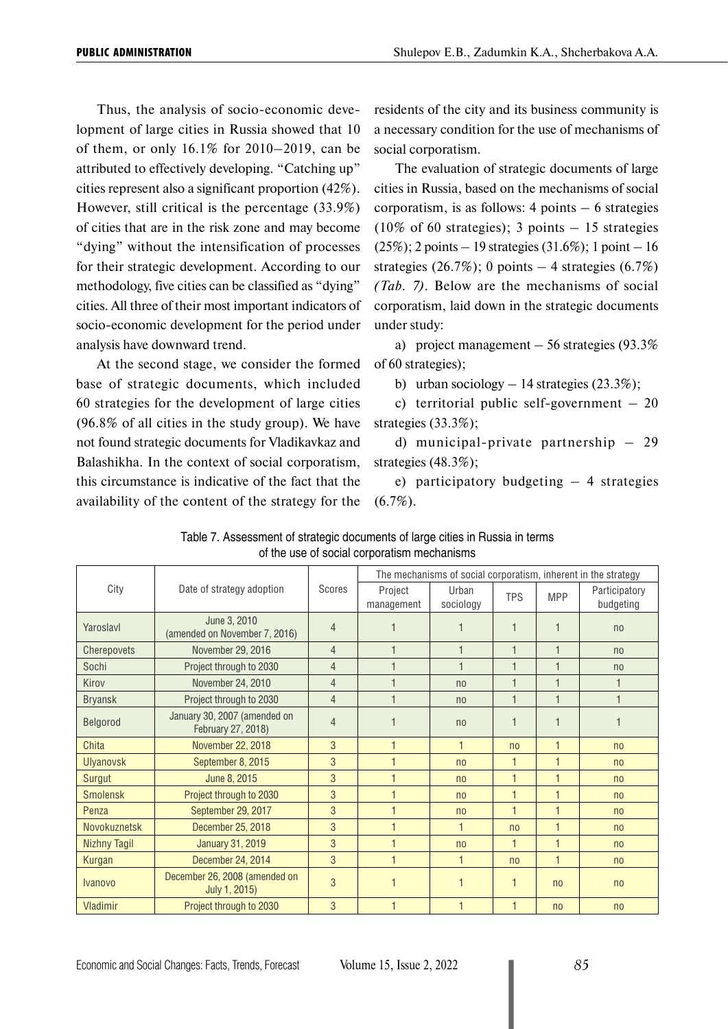Thus, the analysis of socio-economic development of large cities in Russia showed that 10 of them, or only 16.1% for 2010–2019, can be attributed to effectively developing. "Catching up" cities represent also a significant proportion (42%). However, still critical is the percentage (33.9%) of cities that are in the risk zone and may become "dying" without the intensification of processes for their strategic development. According to our methodology, five cities can be classified as "dying" cities. All three of their most important indicators of socio-economic development for the period under analysis have downward trend.

At the second stage, we consider the formed base of strategic documents, which included 60 strategies for the development of large cities (96.8% of all cities in the study group). We have not found strategic documents for Vladikavkaz and Balashikha. In the context of social corporatism, this circumstance is indicative of the fact that the availability of the content of the strategy for the residents of the city and its business community is a necessary condition for the use of mechanisms of social corporatism.

The evaluation of strategic documents of large cities in Russia, based on the mechanisms of social corporatism, is as follows:  $4$  points  $-6$  strategies  $(10\% \text{ of } 60 \text{ strategies})$ ; 3 points  $-15$  strategies (25%); 2 points – 19 strategies (31.6%); 1 point – 16 strategies (26.7%); 0 points  $-4$  strategies (6.7%) *(Tab. 7)*. Below are the mechanisms of social corporatism, laid down in the strategic documents under study:

a) project management  $-56$  strategies (93.3%) of 60 strategies);

b) urban sociology  $-14$  strategies (23.3%);

c) territorial public self-government  $-20$ strategies (33.3%);

d) municipal-private partnership – 29 strategies (48.3%);

e) participatory budgeting  $-4$  strategies  $(6.7\%).$ 

|                     |                                                    |                | The mechanisms of social corporatism, inherent in the strategy |                    |                |                          |                            |  |
|---------------------|----------------------------------------------------|----------------|----------------------------------------------------------------|--------------------|----------------|--------------------------|----------------------------|--|
| City                | Date of strategy adoption                          | Scores         | Project<br>management                                          | Urban<br>sociology | <b>TPS</b>     | <b>MPP</b>               | Participatory<br>budgeting |  |
| Yaroslavl           | June 3, 2010<br>(amended on November 7, 2016)      | $\overline{4}$ |                                                                |                    | 1              |                          | n <sub>0</sub>             |  |
| Cherepovets         | November 29, 2016                                  | $\overline{4}$ | $\overline{1}$                                                 |                    | $\mathbf{1}$   | $\overline{1}$           | n <sub>0</sub>             |  |
| Sochi               | Project through to 2030                            | $\overline{4}$ |                                                                |                    | 1              | $\overline{1}$           | n <sub>0</sub>             |  |
| Kirov               | November 24, 2010                                  | $\overline{4}$ |                                                                | n <sub>0</sub>     | $\mathbf 1$    |                          |                            |  |
| <b>Bryansk</b>      | Project through to 2030                            | $\overline{4}$ |                                                                | n <sub>0</sub>     | $\overline{1}$ | $\overline{1}$           |                            |  |
| Belgorod            | January 30, 2007 (amended on<br>February 27, 2018) | $\overline{4}$ |                                                                | n <sub>0</sub>     |                |                          |                            |  |
| Chita               | November 22, 2018                                  | 3              | $\overline{\mathbf{1}}$                                        | $\mathbf{1}$       | n <sub>0</sub> | $\overline{\phantom{a}}$ | n <sub>o</sub>             |  |
| <b>Ulyanovsk</b>    | September 8, 2015                                  | 3              | $\overline{1}$                                                 | n <sub>0</sub>     | $\mathbf{1}$   | $\overline{1}$           | n <sub>0</sub>             |  |
| <b>Surgut</b>       | June 8, 2015                                       | 3              |                                                                | n <sub>0</sub>     | 1              | $\mathbf{1}$             | no                         |  |
| <b>Smolensk</b>     | Project through to 2030                            | 3              | $\overline{1}$                                                 | n <sub>0</sub>     | $\mathbf{1}$   | $\overline{1}$           | no                         |  |
| Penza               | September 29, 2017                                 | 3              |                                                                | n <sub>0</sub>     | $\mathbf{1}$   | $\overline{1}$           | n <sub>o</sub>             |  |
| Novokuznetsk        | December 25, 2018                                  | 3              | $\overline{1}$                                                 | $\mathbf{1}$       | n <sub>0</sub> | $\overline{1}$           | n <sub>0</sub>             |  |
| <b>Nizhny Tagil</b> | <b>January 31, 2019</b>                            | 3              |                                                                | n <sub>0</sub>     | 1              | $\overline{1}$           | n <sub>0</sub>             |  |
| Kurgan              | December 24, 2014                                  | 3              | 1                                                              | 1                  | n <sub>0</sub> | $\overline{1}$           | n <sub>0</sub>             |  |
| <b>Ivanovo</b>      | December 26, 2008 (amended on<br>July 1, 2015)     | 3              |                                                                |                    | 1              | n <sub>0</sub>           | n <sub>0</sub>             |  |
| Vladimir            | Project through to 2030                            | 3              |                                                                |                    | $\mathbf{1}$   | n <sub>0</sub>           | no                         |  |

Table 7. Assessment of strategic documents of large cities in Russia in terms of the use of social corporatism mechanisms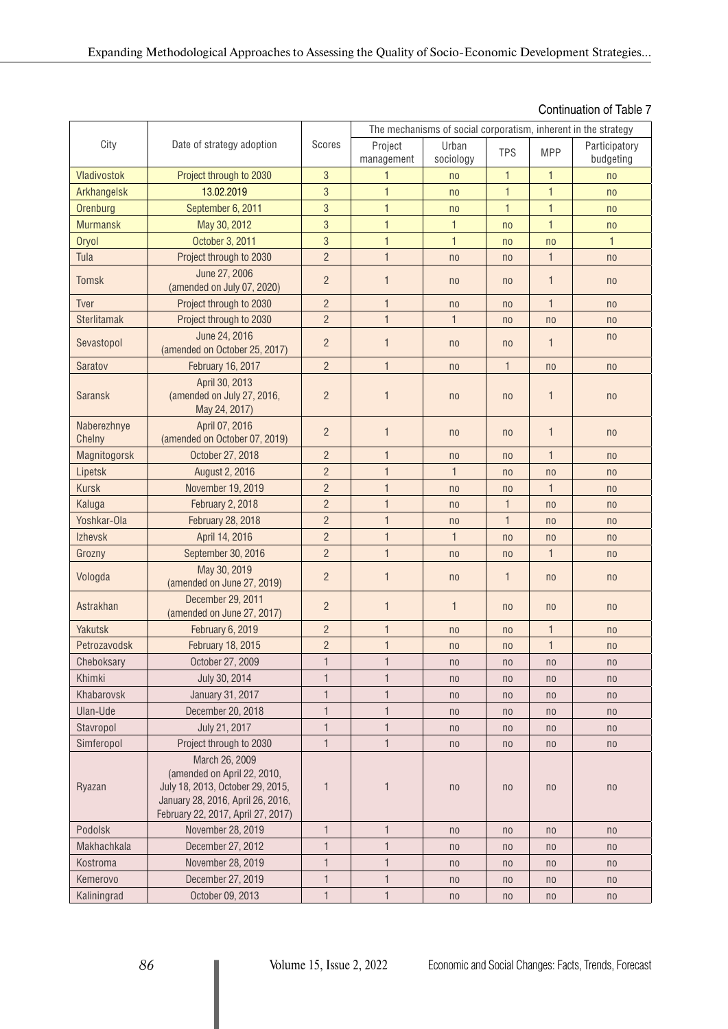# Continuation of Table 7

|                       |                                                                                                                                                              |                | The mechanisms of social corporatism, inherent in the strategy |                    |                |                |                            |  |
|-----------------------|--------------------------------------------------------------------------------------------------------------------------------------------------------------|----------------|----------------------------------------------------------------|--------------------|----------------|----------------|----------------------------|--|
| City                  | Date of strategy adoption                                                                                                                                    | Scores         | Project<br>management                                          | Urban<br>sociology | <b>TPS</b>     | <b>MPP</b>     | Participatory<br>budgeting |  |
| Vladivostok           | Project through to 2030                                                                                                                                      | $\mathbf{3}$   | 1                                                              | n <sub>0</sub>     | $\mathbf{1}$   | $\mathbf{1}$   | no                         |  |
| Arkhangelsk           | 13.02.2019                                                                                                                                                   | 3              | $\mathbf{1}$                                                   | no                 | $\mathbf{1}$   | $\mathbf{1}$   | no                         |  |
| Orenburg              | September 6, 2011                                                                                                                                            | 3              | $\mathbf{1}$                                                   | no                 | $\mathbf{1}$   | $\mathbf{1}$   | no                         |  |
| <b>Murmansk</b>       | May 30, 2012                                                                                                                                                 | 3              | $\mathbf{1}$                                                   | $\mathbf{1}$       | n <sub>0</sub> | $\mathbf{1}$   | n <sub>0</sub>             |  |
| Oryol                 | October 3, 2011                                                                                                                                              | 3              | $\mathbf{1}$                                                   | $\mathbf{1}$       | n <sub>0</sub> | n <sub>0</sub> | $\mathbf{1}$               |  |
| Tula                  | Project through to 2030                                                                                                                                      | $\overline{2}$ | $\mathbf{1}$                                                   | no                 | n <sub>0</sub> | $\mathbf{1}$   | no                         |  |
| <b>Tomsk</b>          | June 27, 2006<br>(amended on July 07, 2020)                                                                                                                  | $\overline{2}$ | $\mathbf{1}$                                                   | n <sub>0</sub>     | n <sub>0</sub> | $\mathbf{1}$   | n <sub>0</sub>             |  |
| Tver                  | Project through to 2030                                                                                                                                      | $\overline{2}$ | $\mathbf{1}$                                                   | no                 | n <sub>0</sub> | $\mathbf{1}$   | n <sub>0</sub>             |  |
| Sterlitamak           | Project through to 2030                                                                                                                                      | $\overline{2}$ | $\mathbf{1}$                                                   | $\mathbf{1}$       | n <sub>0</sub> | n <sub>0</sub> | n <sub>0</sub>             |  |
| Sevastopol            | June 24, 2016<br>(amended on October 25, 2017)                                                                                                               | $\overline{2}$ | $\overline{1}$                                                 | n <sub>0</sub>     | n <sub>0</sub> | $\mathbf{1}$   | n <sub>0</sub>             |  |
| Saratov               | February 16, 2017                                                                                                                                            | $\overline{2}$ | $\mathbf{1}$                                                   | n <sub>0</sub>     | $\mathbf{1}$   | n <sub>0</sub> | n <sub>0</sub>             |  |
| <b>Saransk</b>        | April 30, 2013<br>(amended on July 27, 2016,<br>May 24, 2017)                                                                                                | $\overline{2}$ | $\mathbf{1}$                                                   | n <sub>0</sub>     | n <sub>0</sub> | $\mathbf{1}$   | n <sub>0</sub>             |  |
| Naberezhnye<br>Chelny | April 07, 2016<br>(amended on October 07, 2019)                                                                                                              | $\overline{2}$ | $\mathbf{1}$                                                   | n <sub>0</sub>     | n <sub>0</sub> | $\mathbf{1}$   | n <sub>0</sub>             |  |
| Magnitogorsk          | October 27, 2018                                                                                                                                             | $\overline{2}$ | $\mathbf{1}$                                                   | n <sub>0</sub>     | n <sub>0</sub> | $\mathbf{1}$   | n <sub>0</sub>             |  |
| Lipetsk               | August 2, 2016                                                                                                                                               | $\overline{2}$ | $\mathbf{1}$                                                   | $\mathbf{1}$       | n <sub>0</sub> | n <sub>0</sub> | n <sub>0</sub>             |  |
| Kursk                 | November 19, 2019                                                                                                                                            | $\overline{2}$ | $\mathbf{1}$                                                   | n <sub>0</sub>     | n <sub>0</sub> | $\mathbf{1}$   | n <sub>0</sub>             |  |
| Kaluga                | February 2, 2018                                                                                                                                             | $\overline{2}$ | $\mathbf{1}$                                                   | no                 | 1              | no             | n <sub>0</sub>             |  |
| Yoshkar-Ola           | February 28, 2018                                                                                                                                            | $\overline{2}$ | $\mathbf{1}$                                                   | no                 | $\mathbf{1}$   | n <sub>0</sub> | n <sub>0</sub>             |  |
| Izhevsk               | April 14, 2016                                                                                                                                               | $\overline{2}$ | $\mathbf{1}$                                                   | $\mathbf{1}$       | n <sub>0</sub> | n <sub>0</sub> | n <sub>0</sub>             |  |
| Grozny                | September 30, 2016                                                                                                                                           | $\overline{2}$ | $\mathbf{1}$                                                   | n <sub>0</sub>     | n <sub>0</sub> | $\mathbf{1}$   | n <sub>0</sub>             |  |
| Vologda               | May 30, 2019<br>(amended on June 27, 2019)                                                                                                                   | $\overline{2}$ | $\mathbf{1}$                                                   | n <sub>0</sub>     | 1              | n <sub>0</sub> | n <sub>0</sub>             |  |
| Astrakhan             | December 29, 2011<br>(amended on June 27, 2017)                                                                                                              | $\overline{2}$ | $\mathbf{1}$                                                   | $\mathbf{1}$       | n <sub>0</sub> | n <sub>0</sub> | n <sub>0</sub>             |  |
| Yakutsk               | February 6, 2019                                                                                                                                             | $\overline{2}$ | $\mathbf{1}$                                                   | no                 | n <sub>0</sub> | $\mathbf{1}$   | n <sub>0</sub>             |  |
| Petrozavodsk          | February 18, 2015                                                                                                                                            | $\overline{2}$ | $\mathbf{1}$                                                   | no                 | n <sub>0</sub> | $\mathbf{1}$   | n <sub>0</sub>             |  |
| Cheboksary            | October 27, 2009                                                                                                                                             | $\mathbf{1}$   | $\mathbf{1}$                                                   | n <sub>0</sub>     | n <sub>0</sub> | n <sub>0</sub> | n <sub>0</sub>             |  |
| Khimki                | July 30, 2014                                                                                                                                                | $\mathbf{1}$   | $\mathbf{1}$                                                   | n <sub>0</sub>     | n <sub>0</sub> | n <sub>0</sub> | n <sub>0</sub>             |  |
| Khabarovsk            | January 31, 2017                                                                                                                                             | $\mathbf{1}$   | $\mathbf{1}$                                                   | n <sub>0</sub>     | n <sub>0</sub> | n <sub>0</sub> | n <sub>0</sub>             |  |
| Ulan-Ude              | December 20, 2018                                                                                                                                            | $\mathbf{1}$   | $\mathbf{1}$                                                   | n <sub>0</sub>     | n <sub>0</sub> | n <sub>0</sub> | n <sub>0</sub>             |  |
| Stavropol             | July 21, 2017                                                                                                                                                | $\mathbf{1}$   | $\mathbf{1}$                                                   | n <sub>0</sub>     | n <sub>0</sub> | n <sub>0</sub> | n <sub>0</sub>             |  |
| Simferopol            | Project through to 2030                                                                                                                                      | $\mathbf{1}$   | $\mathbf{1}$                                                   | n <sub>0</sub>     | n <sub>0</sub> | n <sub>0</sub> | n <sub>0</sub>             |  |
| Ryazan                | March 26, 2009<br>(amended on April 22, 2010,<br>July 18, 2013, October 29, 2015,<br>January 28, 2016, April 26, 2016,<br>February 22, 2017, April 27, 2017) | $\mathbf 1$    | $\mathbf{1}$                                                   | n <sub>0</sub>     | n <sub>0</sub> | n <sub>0</sub> | n <sub>0</sub>             |  |
| Podolsk               | November 28, 2019                                                                                                                                            | $\mathbf{1}$   | $\mathbf{1}$                                                   | n <sub>0</sub>     | n <sub>0</sub> | n <sub>0</sub> | n <sub>0</sub>             |  |
| Makhachkala           | December 27, 2012                                                                                                                                            | $\mathbf{1}$   | $\mathbf{1}$                                                   | n <sub>0</sub>     | n <sub>0</sub> | n <sub>0</sub> | n <sub>0</sub>             |  |
| Kostroma              | November 28, 2019                                                                                                                                            | $\mathbf{1}$   | $\mathbf{1}$                                                   | n <sub>0</sub>     | n <sub>0</sub> | n <sub>0</sub> | n <sub>0</sub>             |  |
| Kemerovo              | December 27, 2019                                                                                                                                            | 1              | $\mathbf{1}$                                                   | n <sub>0</sub>     | n <sub>0</sub> | n <sub>0</sub> | n <sub>0</sub>             |  |
| Kaliningrad           | October 09, 2013                                                                                                                                             | $\mathbf{1}$   | $\mathbf{1}$                                                   | n <sub>0</sub>     | n <sub>0</sub> | n <sub>0</sub> | n <sub>0</sub>             |  |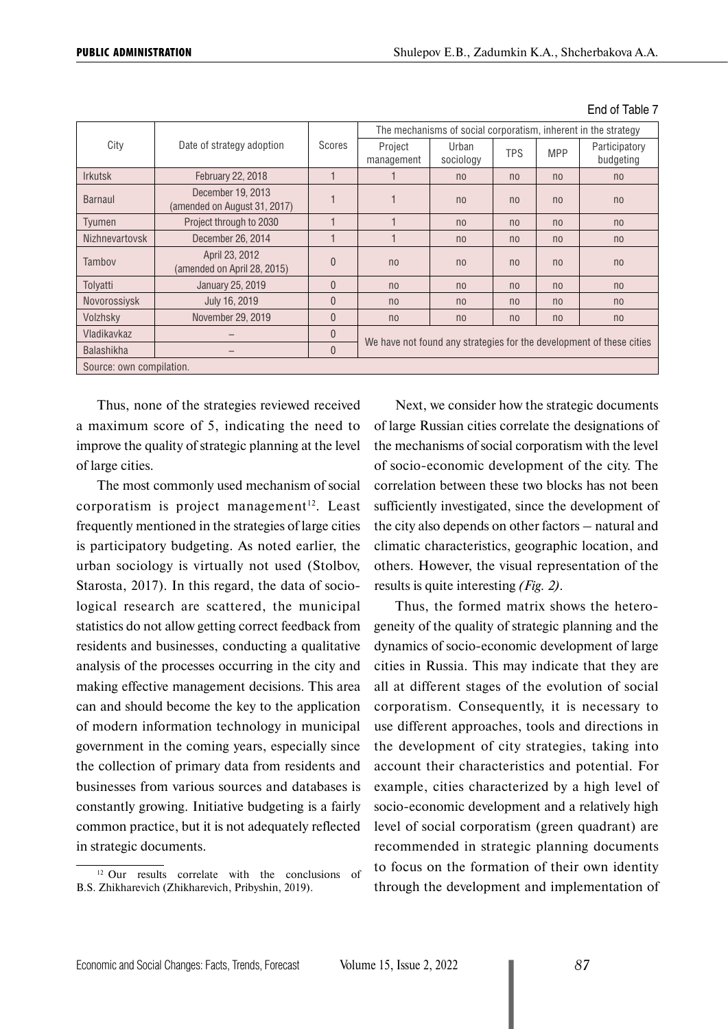| City                     | Date of strategy adoption                         | Scores         | The mechanisms of social corporatism, inherent in the strategy       |                    |                |                |                            |
|--------------------------|---------------------------------------------------|----------------|----------------------------------------------------------------------|--------------------|----------------|----------------|----------------------------|
|                          |                                                   |                | Project<br>management                                                | Urban<br>sociology | <b>TPS</b>     | <b>MPP</b>     | Participatory<br>budgeting |
| <b>Irkutsk</b>           | February 22, 2018                                 |                |                                                                      | n <sub>0</sub>     | n <sub>0</sub> | n <sub>0</sub> | n <sub>0</sub>             |
| Barnaul                  | December 19, 2013<br>(amended on August 31, 2017) |                |                                                                      | n <sub>0</sub>     | n <sub>0</sub> | n <sub>0</sub> | n <sub>0</sub>             |
| Tyumen                   | Project through to 2030                           |                |                                                                      | n <sub>0</sub>     | n <sub>0</sub> | n <sub>0</sub> | n <sub>0</sub>             |
| <b>Nizhnevartovsk</b>    | December 26, 2014                                 |                |                                                                      | n <sub>0</sub>     | n <sub>0</sub> | n <sub>0</sub> | n <sub>0</sub>             |
| Tambov                   | April 23, 2012<br>(amended on April 28, 2015)     | $\overline{0}$ | n <sub>0</sub>                                                       | n <sub>0</sub>     | n <sub>0</sub> | n <sub>0</sub> | n <sub>0</sub>             |
| Tolyatti                 | January 25, 2019                                  | $\mathbf{0}$   | n <sub>0</sub>                                                       | n <sub>0</sub>     | n <sub>0</sub> | n <sub>0</sub> | n <sub>0</sub>             |
| Novorossiysk             | July 16, 2019                                     | $\mathbf{0}$   | no                                                                   | n <sub>0</sub>     | n <sub>0</sub> | n <sub>0</sub> | n <sub>0</sub>             |
| Volzhsky                 | November 29, 2019                                 | $\Omega$       | n <sub>0</sub>                                                       | n <sub>0</sub>     | n <sub>0</sub> | n <sub>0</sub> | n <sub>0</sub>             |
| Vladikavkaz              |                                                   | $\overline{0}$ | We have not found any strategies for the development of these cities |                    |                |                |                            |
| <b>Balashikha</b>        |                                                   | $\mathbf{0}$   |                                                                      |                    |                |                |                            |
| Source: own compilation. |                                                   |                |                                                                      |                    |                |                |                            |

End of Table 7

Thus, none of the strategies reviewed received a maximum score of 5, indicating the need to improve the quality of strategic planning at the level of large cities.

The most commonly used mechanism of social corporatism is project management $12$ . Least frequently mentioned in the strategies of large cities is participatory budgeting. As noted earlier, the urban sociology is virtually not used (Stolbov, Starosta, 2017). In this regard, the data of sociological research are scattered, the municipal statistics do not allow getting correct feedback from residents and businesses, conducting a qualitative analysis of the processes occurring in the city and making effective management decisions. This area can and should become the key to the application of modern information technology in municipal government in the coming years, especially since the collection of primary data from residents and businesses from various sources and databases is constantly growing. Initiative budgeting is a fairly common practice, but it is not adequately reflected in strategic documents.

<sup>12</sup> Our results correlate with the conclusions of B.S. Zhikharevich (Zhikharevich, Pribyshin, 2019).

Next, we consider how the strategic documents of large Russian cities correlate the designations of the mechanisms of social corporatism with the level of socio-economic development of the city. The correlation between these two blocks has not been sufficiently investigated, since the development of the city also depends on other factors – natural and climatic characteristics, geographic location, and others. However, the visual representation of the results is quite interesting *(Fig. 2)*.

Thus, the formed matrix shows the heterogeneity of the quality of strategic planning and the dynamics of socio-economic development of large cities in Russia. This may indicate that they are all at different stages of the evolution of social corporatism. Consequently, it is necessary to use different approaches, tools and directions in the development of city strategies, taking into account their characteristics and potential. For example, cities characterized by a high level of socio-economic development and a relatively high level of social corporatism (green quadrant) are recommended in strategic planning documents to focus on the formation of their own identity through the development and implementation of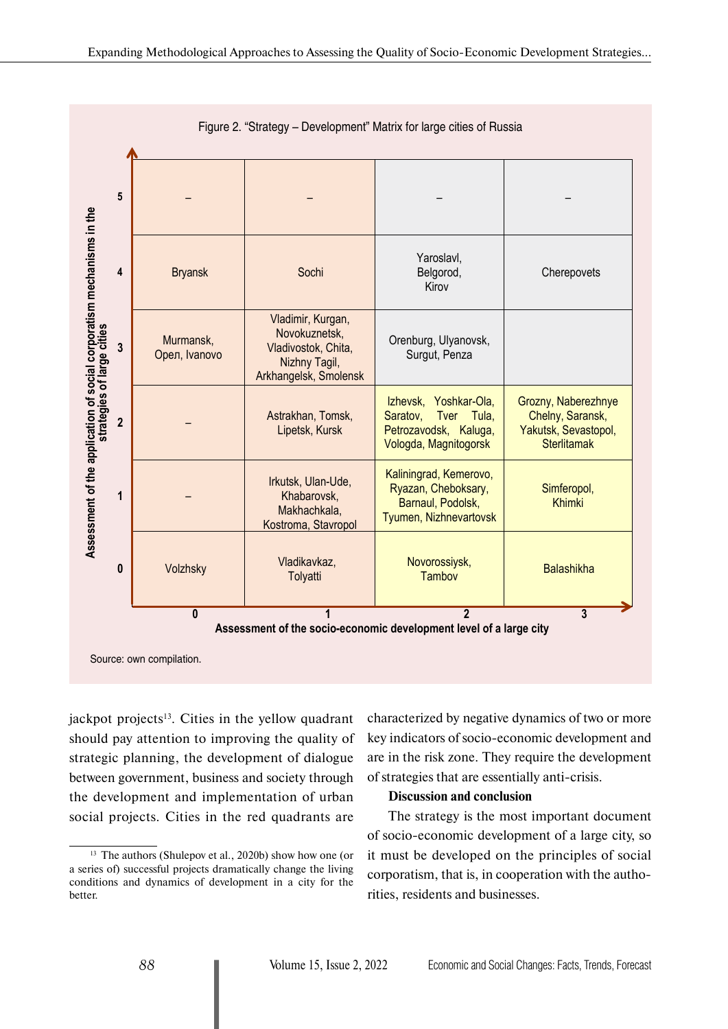

Figure 2. "Strategy – Development" Matrix for large cities of Russia

jackpot projects $13$ . Cities in the yellow quadrant should pay attention to improving the quality of strategic planning, the development of dialogue between government, business and society through the development and implementation of urban social projects. Cities in the red quadrants are

characterized by negative dynamics of two or more key indicators of socio-economic development and are in the risk zone. They require the development of strategies that are essentially anti-crisis.

#### **Discussion and conclusion**

The strategy is the most important document of socio-economic development of a large city, so it must be developed on the principles of social corporatism, that is, in cooperation with the authorities, residents and businesses.

<sup>&</sup>lt;sup>13</sup> The authors (Shulepov et al., 2020b) show how one (or a series of) successful projects dramatically change the living conditions and dynamics of development in a city for the better.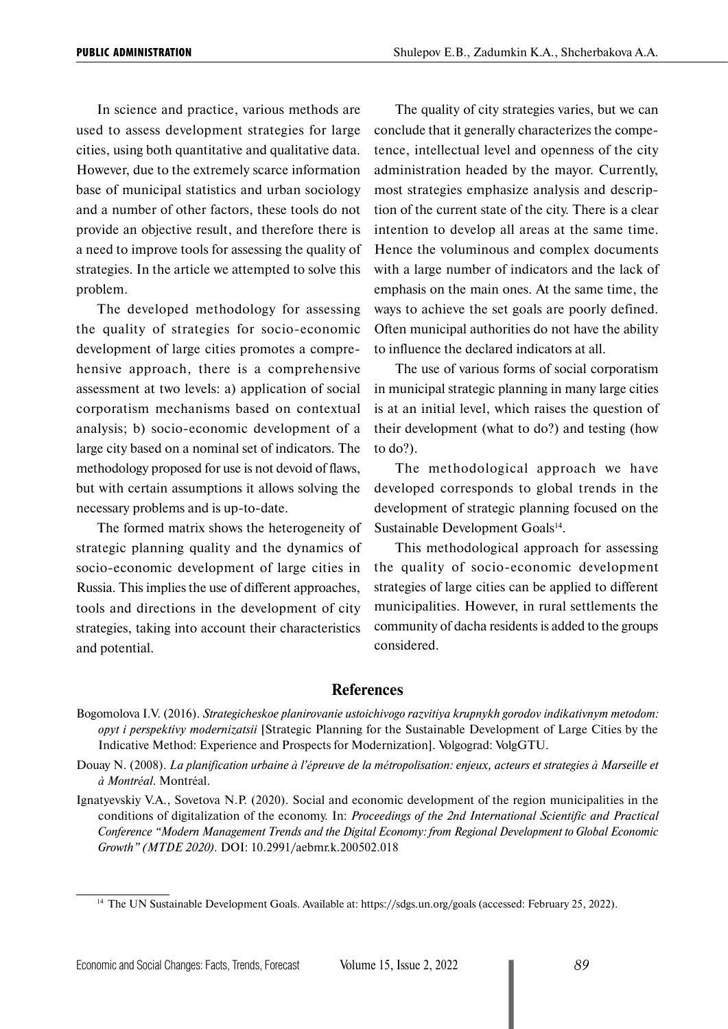In science and practice, various methods are used to assess development strategies for large cities, using both quantitative and qualitative data. However, due to the extremely scarce information base of municipal statistics and urban sociology and a number of other factors, these tools do not provide an objective result, and therefore there is a need to improve tools for assessing the quality of strategies. In the article we attempted to solve this problem.

The developed methodology for assessing the quality of strategies for socio-economic development of large cities promotes a comprehensive approach, there is a comprehensive assessment at two levels: a) application of social corporatism mechanisms based on contextual analysis; b) socio-economic development of a large city based on a nominal set of indicators. The methodology proposed for use is not devoid of flaws, but with certain assumptions it allows solving the necessary problems and is up-to-date.

The formed matrix shows the heterogeneity of strategic planning quality and the dynamics of socio-economic development of large cities in Russia. This implies the use of different approaches, tools and directions in the development of city strategies, taking into account their characteristics and potential.

The quality of city strategies varies, but we can conclude that it generally characterizes the competence, intellectual level and openness of the city administration headed by the mayor. Currently, most strategies emphasize analysis and description of the current state of the city. There is a clear intention to develop all areas at the same time. Hence the voluminous and complex documents with a large number of indicators and the lack of emphasis on the main ones. At the same time, the ways to achieve the set goals are poorly defined. Often municipal authorities do not have the ability to influence the declared indicators at all.

The use of various forms of social corporatism in municipal strategic planning in many large cities is at an initial level, which raises the question of their development (what to do?) and testing (how to do?).

The methodological approach we have developed corresponds to global trends in the development of strategic planning focused on the Sustainable Development Goals<sup>14</sup>.

This methodological approach for assessing the quality of socio-economic development strategies of large cities can be applied to different municipalities. However, in rural settlements the community of dacha residents is added to the groups considered.

#### **References**

Bogomolova I.V. (2016). *Strategicheskoe planirovanie ustoichivogo razvitiya krupnykh gorodov indikativnym metodom: opyt i perspektivy modernizatsii* [Strategic Planning for the Sustainable Development of Large Cities by the Indicative Method: Experience and Prospects for Modernization]. Volgograd: VolgGTU.

Douay N. (2008). *La planification urbaine à l'épreuve de la métropolisation: enjeux, acteurs et strategies à Marseille et à Montréal*. Montréal.

Ignatyevskiy V.A., Sovetova N.P. (2020). Social and economic development of the region municipalities in the conditions of digitalization of the economy. In: *Proceedings of the 2nd International Scientific and Practical Conference "Modern Management Trends and the Digital Economy: from Regional Development to Global Economic Growth" (MTDE 2020).* DOI: 10.2991/aebmr.k.200502.018

<sup>14</sup> The UN Sustainable Development Goals. Available at: https://sdgs.un.org/goals (accessed: February 25, 2022).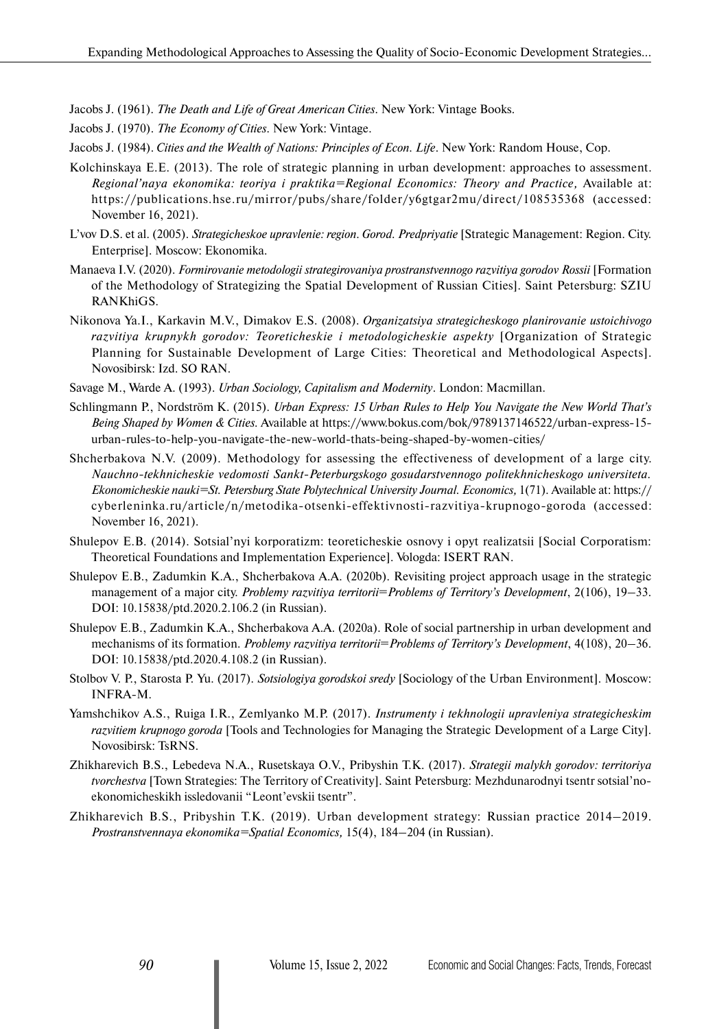Jacobs J. (1961). *The Death and Life of Great American Cities*. New York: Vintage Books.

Jacobs J. (1970). *The Economy of Cities*. New York: Vintage.

Jacobs J. (1984). *Cities and the Wealth of Nations: Principles of Econ. Life*. New York: Random House, Cop.

- Kolchinskaya E.E. (2013). The role of strategic planning in urban development: approaches to assessment. *Regional'naya ekonomika: teoriya i praktika=Regional Economics: Theory and Practice,* Available at: https://publications.hse.ru/mirror/pubs/share/folder/y6gtgar2mu/direct/108535368 (accessed: November 16, 2021).
- L'vov D.S. et al. (2005). *Strategicheskoe upravlenie: region. Gorod. Predpriyatie* [Strategic Management: Region. City. Enterprise]. Moscow: Ekonomika.
- Manaeva I.V. (2020). *Formirovanie metodologii strategirovaniya prostranstvennogo razvitiya gorodov Rossii* [Formation of the Methodology of Strategizing the Spatial Development of Russian Cities]. Saint Petersburg: SZIU RANKhiGS.
- Nikonova Ya.I., Karkavin M.V., Dimakov E.S. (2008). *Organizatsiya strategicheskogo planirovanie ustoichivogo razvitiya krupnykh gorodov: Teoreticheskie i metodologicheskie aspekty* [Organization of Strategic Planning for Sustainable Development of Large Cities: Theoretical and Methodological Aspects]. Novosibirsk: Izd. SO RAN.
- Savage M., Warde A. (1993). *Urban Sociology, Capitalism and Modernity*. London: Macmillan.
- Schlingmann P., Nordström K. (2015). *Urban Express: 15 Urban Rules to Help You Navigate the New World That's Being Shaped by Women & Cities.* Available at https://www.bokus.com/bok/9789137146522/urban-express-15 urban-rules-to-help-you-navigate-the-new-world-thats-being-shaped-by-women-cities/
- Shcherbakova N.V. (2009). Methodology for assessing the effectiveness of development of a large city. *Nauchno-tekhnicheskie vedomosti Sankt-Peterburgskogo gosudarstvennogo politekhnicheskogo universiteta. Ekonomicheskie nauki=St. Petersburg State Polytechnical University Journal. Economics,* 1(71). Available at: https:// cyberleninka.ru/article/n/metodika-otsenki-effektivnosti-razvitiya-krupnogo-goroda (accessed: November 16, 2021).
- Shulepov E.B. (2014). Sotsial'nyi korporatizm: teoreticheskie osnovy i opyt realizatsii [Social Corporatism: Theoretical Foundations and Implementation Experience]. Vologda: ISERT RAN.
- Shulepov E.B., Zadumkin K.A., Shcherbakova A.A. (2020b). Revisiting project approach usage in the strategic management of a major city. *Problemy razvitiya territorii*=*Problems of Territory's Development*, 2(106), 19–33. DOI: 10.15838/ptd.2020.2.106.2 (in Russian).
- Shulepov E.B., Zadumkin K.A., Shcherbakova A.A. (2020а). Role of social partnership in urban development and mechanisms of its formation. *Problemy razvitiya territorii*=*Problems of Territory's Development*, 4(108), 20–36. DOI: 10.15838/ptd.2020.4.108.2 (in Russian).
- Stolbov V. P., Starosta P. Yu. (2017). *Sotsiologiya gorodskoi sredy* [Sociology of the Urban Environment]. Moscow: INFRA-M.
- Yamshchikov A.S., Ruiga I.R., Zemlyanko M.P. (2017). *Instrumenty i tekhnologii upravleniya strategicheskim razvitiem krupnogo goroda* [Tools and Technologies for Managing the Strategic Development of a Large City]. Novosibirsk: TsRNS.
- Zhikharevich B.S., Lebedeva N.A., Rusetskaya O.V., Pribyshin T.K. (2017). *Strategii malykh gorodov: territoriya tvorchestva* [Town Strategies: The Territory of Creativity]. Saint Petersburg: Mezhdunarodnyi tsentr sotsial'noekonomicheskikh issledovanii "Leont'evskii tsentr".
- Zhikharevich B.S., Pribyshin T.K. (2019). Urban development strategy: Russian practice 2014–2019. *Prostranstvennaya ekonomika=Spatial Economics,* 15(4), 184–204 (in Russian).